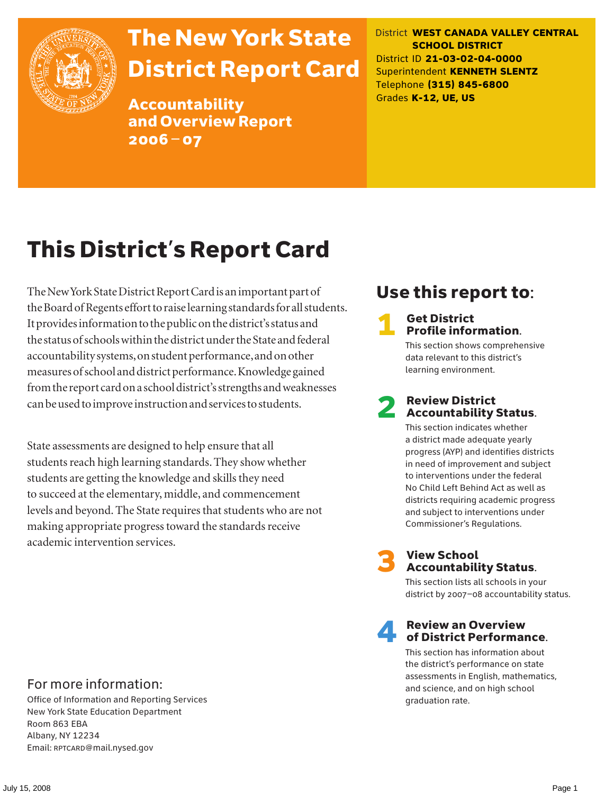

# The New York State District Report Card

Accountability and Overview Report 2006–07

District **WEST CANADA VALLEY CENTRAL SCHOOL DISTRICT** District ID **21-03-02-04-0000** Superintendent **KENNETH SLENTZ** Telephone **(315) 845-6800** Grades **K-12, UE, US**

# This District's Report Card

The New York State District Report Card is an important part of the Board of Regents effort to raise learning standards for all students. It provides information to the public on the district's status and the status of schools within the district under the State and federal accountability systems, on student performance, and on other measures of school and district performance. Knowledge gained from the report card on a school district's strengths and weaknesses can be used to improve instruction and services to students.

State assessments are designed to help ensure that all students reach high learning standards. They show whether students are getting the knowledge and skills they need to succeed at the elementary, middle, and commencement levels and beyond. The State requires that students who are not making appropriate progress toward the standards receive academic intervention services.

# Use this report to:

### **Get District** Profile information.

This section shows comprehensive data relevant to this district's learning environment.

### **Review District** Accountability Status.

This section indicates whether a district made adequate yearly progress (AYP) and identifies districts in need of improvement and subject to interventions under the federal No Child Left Behind Act as well as districts requiring academic progress and subject to interventions under Commissioner's Regulations.



# **3** View School<br>Accountability Status.

This section lists all schools in your district by 2007–08 accountability status.

### **Review an Overview** of District Performance.

This section has information about the district's performance on state assessments in English, mathematics, and science, and on high school graduation rate.

### For more information:

Office of Information and Reporting Services New York State Education Department Room 863 EBA Albany, NY 12234 Email: RPTCARD@mail.nysed.gov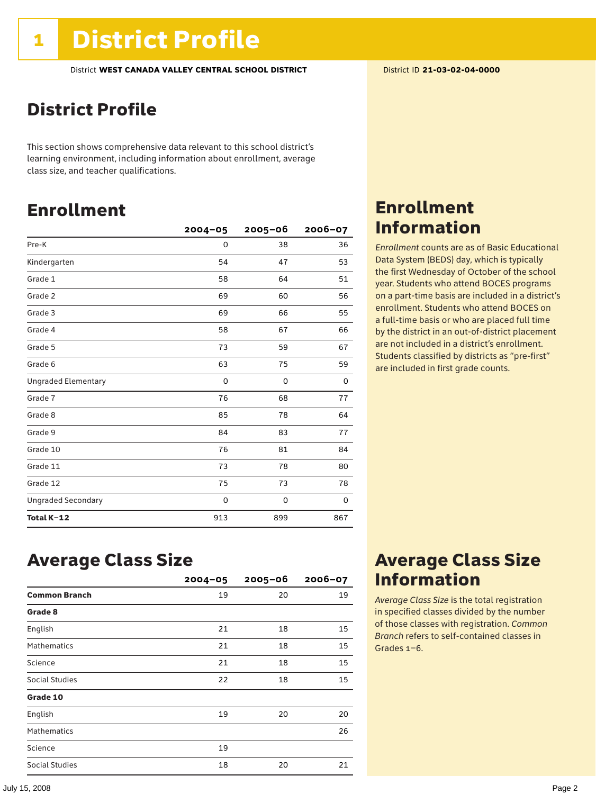### District Profile

This section shows comprehensive data relevant to this school district's learning environment, including information about enrollment, average class size, and teacher qualifications.

### Enrollment

|                            | $2004 - 05$ | $2005 - 06$ | $2006 - 07$ |
|----------------------------|-------------|-------------|-------------|
| Pre-K                      | 0           | 38          | 36          |
| Kindergarten               | 54          | 47          | 53          |
| Grade 1                    | 58          | 64          | 51          |
| Grade 2                    | 69          | 60          | 56          |
| Grade 3                    | 69          | 66          | 55          |
| Grade 4                    | 58          | 67          | 66          |
| Grade 5                    | 73          | 59          | 67          |
| Grade 6                    | 63          | 75          | 59          |
| <b>Ungraded Elementary</b> | 0           | 0           | 0           |
| Grade 7                    | 76          | 68          | 77          |
| Grade 8                    | 85          | 78          | 64          |
| Grade 9                    | 84          | 83          | 77          |
| Grade 10                   | 76          | 81          | 84          |
| Grade 11                   | 73          | 78          | 80          |
| Grade 12                   | 75          | 73          | 78          |
| <b>Ungraded Secondary</b>  | 0           | 0           | 0           |
| Total K-12                 | 913         | 899         | 867         |

### Enrollment Information

*Enrollment* counts are as of Basic Educational Data System (BEDS) day, which is typically the first Wednesday of October of the school year. Students who attend BOCES programs on a part-time basis are included in a district's enrollment. Students who attend BOCES on a full-time basis or who are placed full time by the district in an out-of-district placement are not included in a district's enrollment. Students classified by districts as "pre-first" are included in first grade counts.

### Average Class Size

|                      | $2004 - 05$ | $2005 - 06$ | $2006 - 07$ |
|----------------------|-------------|-------------|-------------|
| <b>Common Branch</b> | 19          | 20          | 19          |
| Grade 8              |             |             |             |
| English              | 21          | 18          | 15          |
| <b>Mathematics</b>   | 21          | 18          | 15          |
| Science              | 21          | 18          | 15          |
| Social Studies       | 22          | 18          | 15          |
| Grade 10             |             |             |             |
| English              | 19          | 20          | 20          |
| <b>Mathematics</b>   |             |             | 26          |
| Science              | 19          |             |             |
| Social Studies       | 18          | 20          | 21          |

### Average Class Size Information

*Average Class Size* is the total registration in specified classes divided by the number of those classes with registration. *Common Branch* refers to self-contained classes in Grades 1–6.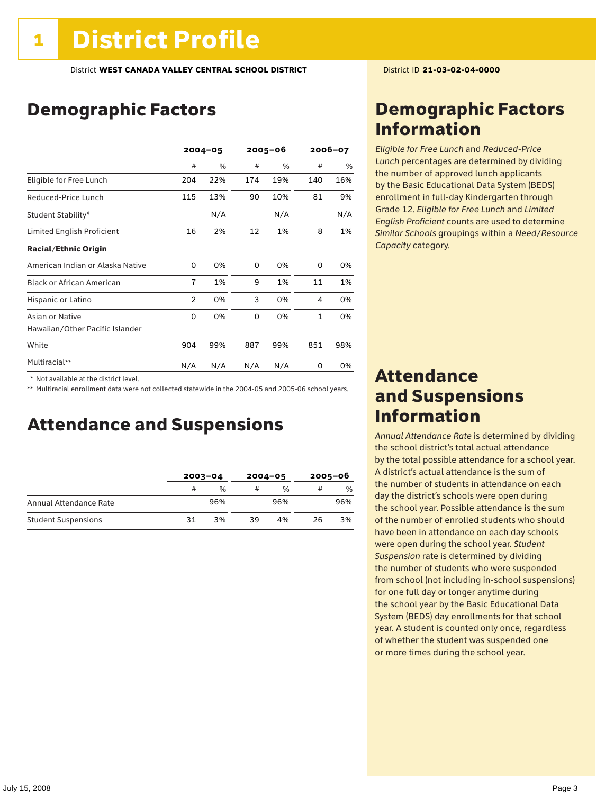# Demographic Factors

|                                  | $2004 - 05$    |     | 2005-06 |      | 2006-07      |      |
|----------------------------------|----------------|-----|---------|------|--------------|------|
|                                  | #              | %   | #       | $\%$ | #            | $\%$ |
| Eligible for Free Lunch          | 204            | 22% | 174     | 19%  | 140          | 16%  |
| Reduced-Price Lunch              | 115            | 13% | 90      | 10%  | 81           | 9%   |
| Student Stability*               |                | N/A |         | N/A  |              | N/A  |
| Limited English Proficient       | 16             | 2%  | 12      | 1%   | 8            | 1%   |
| <b>Racial/Ethnic Origin</b>      |                |     |         |      |              |      |
| American Indian or Alaska Native | 0              | 0%  | 0       | 0%   | 0            | 0%   |
| <b>Black or African American</b> | $\overline{7}$ | 1%  | 9       | 1%   | 11           | 1%   |
| Hispanic or Latino               | $\overline{2}$ | 0%  | 3       | 0%   | 4            | 0%   |
| Asian or Native                  | 0              | 0%  | 0       | 0%   | $\mathbf{1}$ | 0%   |
| Hawaiian/Other Pacific Islander  |                |     |         |      |              |      |
| White                            | 904            | 99% | 887     | 99%  | 851          | 98%  |
| Multiracial**                    | N/A            | N/A | N/A     | N/A  | 0            | 0%   |

 \* Not available at the district level.

\*\* Multiracial enrollment data were not collected statewide in the 2004-05 and 2005-06 school years.

### Attendance and Suspensions

|                            | $2003 - 04$ |               | $2004 - 05$ |               | $2005 - 06$ |     |
|----------------------------|-------------|---------------|-------------|---------------|-------------|-----|
|                            | #           | $\frac{0}{0}$ | #           | $\frac{0}{0}$ | #           | %   |
| Annual Attendance Rate     |             | 96%           |             | 96%           |             | 96% |
| <b>Student Suspensions</b> | 31          | 3%            | 39          | 4%            | 26          | 3%  |

### Demographic Factors Information

*Eligible for Free Lunch* and *Reduced*-*Price Lunch* percentages are determined by dividing the number of approved lunch applicants by the Basic Educational Data System (BEDS) enrollment in full-day Kindergarten through Grade 12. *Eligible for Free Lunch* and *Limited English Proficient* counts are used to determine *Similar Schools* groupings within a *Need*/*Resource Capacity* category.

### Attendance and Suspensions Information

*Annual Attendance Rate* is determined by dividing the school district's total actual attendance by the total possible attendance for a school year. A district's actual attendance is the sum of the number of students in attendance on each day the district's schools were open during the school year. Possible attendance is the sum of the number of enrolled students who should have been in attendance on each day schools were open during the school year. *Student Suspension* rate is determined by dividing the number of students who were suspended from school (not including in-school suspensions) for one full day or longer anytime during the school year by the Basic Educational Data System (BEDS) day enrollments for that school year. A student is counted only once, regardless of whether the student was suspended one or more times during the school year.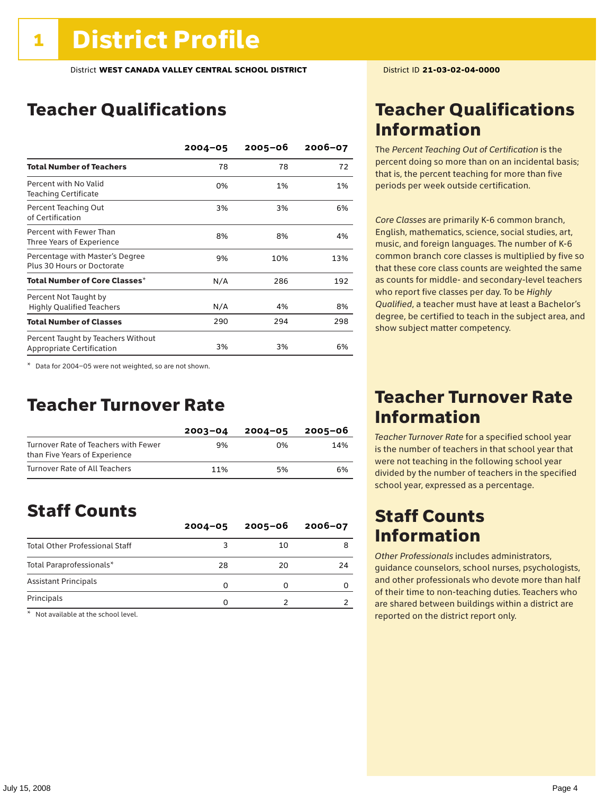# Teacher Qualifications

|                                                                 | $2004 - 05$ | $2005 - 06$ | $2006 - 07$ |
|-----------------------------------------------------------------|-------------|-------------|-------------|
| <b>Total Number of Teachers</b>                                 | 78          | 78          | 72          |
| Percent with No Valid<br><b>Teaching Certificate</b>            | 0%          | 1%          | 1%          |
| Percent Teaching Out<br>of Certification                        | 3%          | 3%          | 6%          |
| Percent with Fewer Than<br>Three Years of Experience            | 8%          | 8%          | 4%          |
| Percentage with Master's Degree<br>Plus 30 Hours or Doctorate   | 9%          | 10%         | 13%         |
| Total Number of Core Classes $^\star$                           | N/A         | 286         | 192         |
| Percent Not Taught by<br><b>Highly Qualified Teachers</b>       | N/A         | 4%          | 8%          |
| <b>Total Number of Classes</b>                                  | 290         | 294         | 298         |
| Percent Taught by Teachers Without<br>Appropriate Certification | 3%          | 3%          | 6%          |

\* Data for 2004–05 were not weighted, so are not shown.

### Teacher Turnover Rate

|                                                                       | $2003 - 04$ | $2004 - 05$ | 2005-06 |
|-----------------------------------------------------------------------|-------------|-------------|---------|
| Turnover Rate of Teachers with Fewer<br>than Five Years of Experience | 9%          | በ%          | 14%     |
| Turnover Rate of All Teachers                                         | 11%         | 5%          | 6%      |

### Staff Counts

|                                       | $2004 - 05$ | $2005 - 06$ | $2006 - 07$ |
|---------------------------------------|-------------|-------------|-------------|
| <b>Total Other Professional Staff</b> |             | 10          |             |
| Total Paraprofessionals*              | 28          | 20          | 24          |
| <b>Assistant Principals</b>           |             |             |             |
| Principals                            |             |             |             |

\* Not available at the school level.

# Teacher Qualifications Information

The *Percent Teaching Out of Certification* is the percent doing so more than on an incidental basis; that is, the percent teaching for more than five periods per week outside certification.

*Core Classes* are primarily K-6 common branch, English, mathematics, science, social studies, art, music, and foreign languages. The number of K-6 common branch core classes is multiplied by five so that these core class counts are weighted the same as counts for middle- and secondary-level teachers who report five classes per day. To be *Highly Qualified*, a teacher must have at least a Bachelor's degree, be certified to teach in the subject area, and show subject matter competency.

### Teacher Turnover Rate Information

*Teacher Turnover Rate* for a specified school year is the number of teachers in that school year that were not teaching in the following school year divided by the number of teachers in the specified school year, expressed as a percentage.

### Staff Counts Information

*Other Professionals* includes administrators, guidance counselors, school nurses, psychologists, and other professionals who devote more than half of their time to non-teaching duties. Teachers who are shared between buildings within a district are reported on the district report only.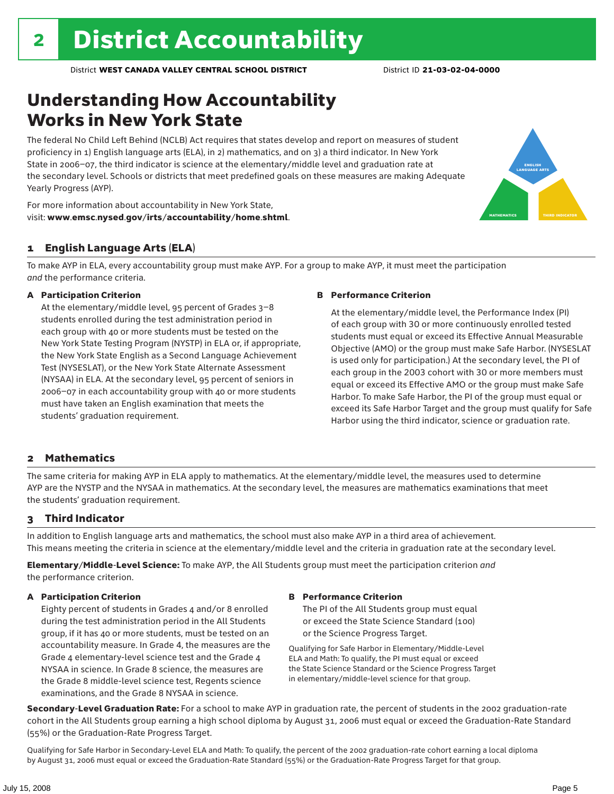# Understanding How Accountability Works in New York State

The federal No Child Left Behind (NCLB) Act requires that states develop and report on measures of student proficiency in 1) English language arts (ELA), in 2) mathematics, and on 3) a third indicator. In New York State in 2006–07, the third indicator is science at the elementary/middle level and graduation rate at the secondary level. Schools or districts that meet predefined goals on these measures are making Adequate Yearly Progress (AYP).



For more information about accountability in New York State, visit: www.emsc.nysed.gov/irts/accountability/home.shtml.

### 1 English Language Arts (ELA)

To make AYP in ELA, every accountability group must make AYP. For a group to make AYP, it must meet the participation *and* the performance criteria.

#### A Participation Criterion

At the elementary/middle level, 95 percent of Grades 3–8 students enrolled during the test administration period in each group with 40 or more students must be tested on the New York State Testing Program (NYSTP) in ELA or, if appropriate, the New York State English as a Second Language Achievement Test (NYSESLAT), or the New York State Alternate Assessment (NYSAA) in ELA. At the secondary level, 95 percent of seniors in 2006–07 in each accountability group with 40 or more students must have taken an English examination that meets the students' graduation requirement.

#### B Performance Criterion

At the elementary/middle level, the Performance Index (PI) of each group with 30 or more continuously enrolled tested students must equal or exceed its Effective Annual Measurable Objective (AMO) or the group must make Safe Harbor. (NYSESLAT is used only for participation.) At the secondary level, the PI of each group in the 2003 cohort with 30 or more members must equal or exceed its Effective AMO or the group must make Safe Harbor. To make Safe Harbor, the PI of the group must equal or exceed its Safe Harbor Target and the group must qualify for Safe Harbor using the third indicator, science or graduation rate.

### 2 Mathematics

The same criteria for making AYP in ELA apply to mathematics. At the elementary/middle level, the measures used to determine AYP are the NYSTP and the NYSAA in mathematics. At the secondary level, the measures are mathematics examinations that meet the students' graduation requirement.

### 3 Third Indicator

In addition to English language arts and mathematics, the school must also make AYP in a third area of achievement. This means meeting the criteria in science at the elementary/middle level and the criteria in graduation rate at the secondary level.

Elementary/Middle-Level Science: To make AYP, the All Students group must meet the participation criterion *and* the performance criterion.

### A Participation Criterion

Eighty percent of students in Grades 4 and/or 8 enrolled during the test administration period in the All Students group, if it has 40 or more students, must be tested on an accountability measure. In Grade 4, the measures are the Grade 4 elementary-level science test and the Grade 4 NYSAA in science. In Grade 8 science, the measures are the Grade 8 middle-level science test, Regents science examinations, and the Grade 8 NYSAA in science.

#### B Performance Criterion

The PI of the All Students group must equal or exceed the State Science Standard (100) or the Science Progress Target.

Qualifying for Safe Harbor in Elementary/Middle-Level ELA and Math: To qualify, the PI must equal or exceed the State Science Standard or the Science Progress Target in elementary/middle-level science for that group.

Secondary-Level Graduation Rate: For a school to make AYP in graduation rate, the percent of students in the 2002 graduation-rate cohort in the All Students group earning a high school diploma by August 31, 2006 must equal or exceed the Graduation-Rate Standard (55%) or the Graduation-Rate Progress Target.

Qualifying for Safe Harbor in Secondary-Level ELA and Math: To qualify, the percent of the 2002 graduation-rate cohort earning a local diploma by August 31, 2006 must equal or exceed the Graduation-Rate Standard (55%) or the Graduation-Rate Progress Target for that group.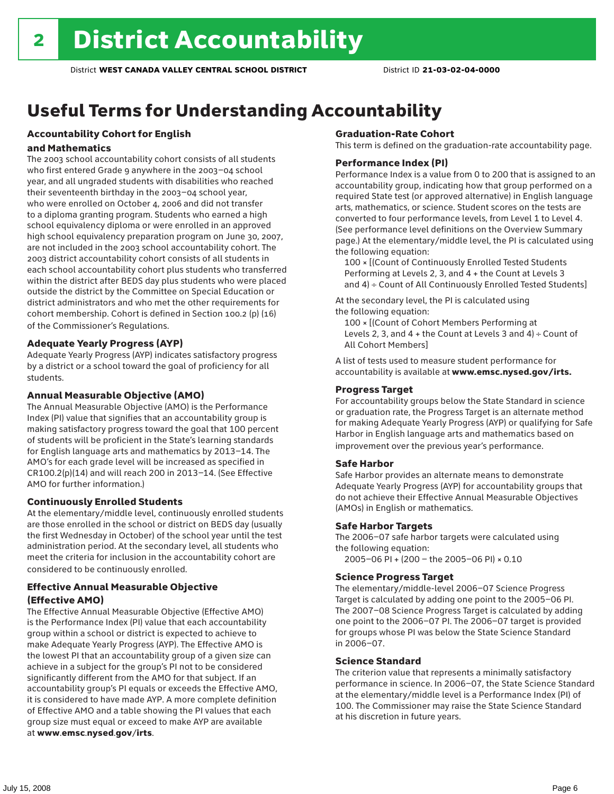# Useful Terms for Understanding Accountability

### Accountability Cohort for English

#### and Mathematics

The 2003 school accountability cohort consists of all students who first entered Grade 9 anywhere in the 2003–04 school year, and all ungraded students with disabilities who reached their seventeenth birthday in the 2003–04 school year, who were enrolled on October 4, 2006 and did not transfer to a diploma granting program. Students who earned a high school equivalency diploma or were enrolled in an approved high school equivalency preparation program on June 30, 2007, are not included in the 2003 school accountability cohort. The 2003 district accountability cohort consists of all students in each school accountability cohort plus students who transferred within the district after BEDS day plus students who were placed outside the district by the Committee on Special Education or district administrators and who met the other requirements for cohort membership. Cohort is defined in Section 100.2 (p) (16) of the Commissioner's Regulations.

#### Adequate Yearly Progress (AYP)

Adequate Yearly Progress (AYP) indicates satisfactory progress by a district or a school toward the goal of proficiency for all students.

#### Annual Measurable Objective (AMO)

The Annual Measurable Objective (AMO) is the Performance Index (PI) value that signifies that an accountability group is making satisfactory progress toward the goal that 100 percent of students will be proficient in the State's learning standards for English language arts and mathematics by 2013–14. The AMO's for each grade level will be increased as specified in CR100.2(p)(14) and will reach 200 in 2013–14. (See Effective AMO for further information.)

### Continuously Enrolled Students

At the elementary/middle level, continuously enrolled students are those enrolled in the school or district on BEDS day (usually the first Wednesday in October) of the school year until the test administration period. At the secondary level, all students who meet the criteria for inclusion in the accountability cohort are considered to be continuously enrolled.

### Effective Annual Measurable Objective (Effective AMO)

The Effective Annual Measurable Objective (Effective AMO) is the Performance Index (PI) value that each accountability group within a school or district is expected to achieve to make Adequate Yearly Progress (AYP). The Effective AMO is the lowest PI that an accountability group of a given size can achieve in a subject for the group's PI not to be considered significantly different from the AMO for that subject. If an accountability group's PI equals or exceeds the Effective AMO, it is considered to have made AYP. A more complete definition of Effective AMO and a table showing the PI values that each group size must equal or exceed to make AYP are available at www.emsc.nysed.gov/irts.

#### Graduation-Rate Cohort

This term is defined on the graduation-rate accountability page.

#### Performance Index (PI)

Performance Index is a value from 0 to 200 that is assigned to an accountability group, indicating how that group performed on a required State test (or approved alternative) in English language arts, mathematics, or science. Student scores on the tests are converted to four performance levels, from Level 1 to Level 4. (See performance level definitions on the Overview Summary page.) At the elementary/middle level, the PI is calculated using the following equation:

100 × [(Count of Continuously Enrolled Tested Students Performing at Levels 2, 3, and 4 + the Count at Levels 3 and 4) ÷ Count of All Continuously Enrolled Tested Students]

At the secondary level, the PI is calculated using the following equation:

100 × [(Count of Cohort Members Performing at Levels 2, 3, and  $4 +$  the Count at Levels 3 and  $4$ ) ÷ Count of All Cohort Members]

A list of tests used to measure student performance for accountability is available at www.emsc.nysed.gov/irts.

#### Progress Target

For accountability groups below the State Standard in science or graduation rate, the Progress Target is an alternate method for making Adequate Yearly Progress (AYP) or qualifying for Safe Harbor in English language arts and mathematics based on improvement over the previous year's performance.

#### Safe Harbor

Safe Harbor provides an alternate means to demonstrate Adequate Yearly Progress (AYP) for accountability groups that do not achieve their Effective Annual Measurable Objectives (AMOs) in English or mathematics.

### Safe Harbor Targets

The 2006–07 safe harbor targets were calculated using the following equation:

2005–06 PI + (200 – the 2005–06 PI) × 0.10

#### Science Progress Target

The elementary/middle-level 2006–07 Science Progress Target is calculated by adding one point to the 2005–06 PI. The 2007–08 Science Progress Target is calculated by adding one point to the 2006–07 PI. The 2006–07 target is provided for groups whose PI was below the State Science Standard in 2006–07.

#### Science Standard

The criterion value that represents a minimally satisfactory performance in science. In 2006–07, the State Science Standard at the elementary/middle level is a Performance Index (PI) of 100. The Commissioner may raise the State Science Standard at his discretion in future years.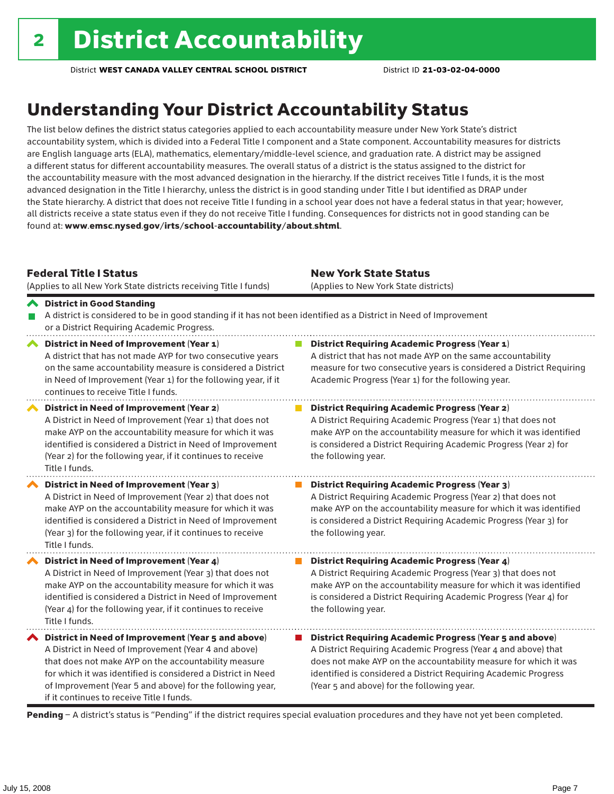# Understanding Your District Accountability Status

The list below defines the district status categories applied to each accountability measure under New York State's district accountability system, which is divided into a Federal Title I component and a State component. Accountability measures for districts are English language arts (ELA), mathematics, elementary/middle-level science, and graduation rate. A district may be assigned a different status for different accountability measures. The overall status of a district is the status assigned to the district for the accountability measure with the most advanced designation in the hierarchy. If the district receives Title I funds, it is the most advanced designation in the Title I hierarchy, unless the district is in good standing under Title I but identified as DRAP under the State hierarchy. A district that does not receive Title I funding in a school year does not have a federal status in that year; however, all districts receive a state status even if they do not receive Title I funding. Consequences for districts not in good standing can be found at: www.emsc.nysed.gov/irts/school-accountability/about.shtml.

### Federal Title I Status

(Applies to all New York State districts receiving Title I funds)

New York State Status (Applies to New York State districts)

#### District in Good Standing A district is considered to be in good standing if it has not been identified as a District in Need of Improvement P. or a District Requiring Academic Progress. ◆ District in Need of Improvement (Year 1) **District Requiring Academic Progress (Year 1)**

|                       | A district that has not made AYP for two consecutive years<br>on the same accountability measure is considered a District<br>in Need of Improvement (Year 1) for the following year, if it<br>continues to receive Title I funds.                                                                                                              | A district that has not made AYP on the same accountability<br>measure for two consecutive years is considered a District Requiring<br>Academic Progress (Year 1) for the following year.                                                                                                                             |
|-----------------------|------------------------------------------------------------------------------------------------------------------------------------------------------------------------------------------------------------------------------------------------------------------------------------------------------------------------------------------------|-----------------------------------------------------------------------------------------------------------------------------------------------------------------------------------------------------------------------------------------------------------------------------------------------------------------------|
|                       | District in Need of Improvement (Year 2)<br>A District in Need of Improvement (Year 1) that does not<br>make AYP on the accountability measure for which it was<br>identified is considered a District in Need of Improvement<br>(Year 2) for the following year, if it continues to receive<br>Title I funds.                                 | <b>District Requiring Academic Progress (Year 2)</b><br>A District Requiring Academic Progress (Year 1) that does not<br>make AYP on the accountability measure for which it was identified<br>is considered a District Requiring Academic Progress (Year 2) for<br>the following year.                               |
|                       | District in Need of Improvement (Year 3)<br>A District in Need of Improvement (Year 2) that does not<br>make AYP on the accountability measure for which it was<br>identified is considered a District in Need of Improvement<br>(Year 3) for the following year, if it continues to receive<br>Title I funds.                                 | <b>District Requiring Academic Progress (Year 3)</b><br>A District Requiring Academic Progress (Year 2) that does not<br>make AYP on the accountability measure for which it was identified<br>is considered a District Requiring Academic Progress (Year 3) for<br>the following year.                               |
| $\blacktriangleright$ | District in Need of Improvement (Year 4)<br>A District in Need of Improvement (Year 3) that does not<br>make AYP on the accountability measure for which it was<br>identified is considered a District in Need of Improvement<br>(Year 4) for the following year, if it continues to receive<br>Title I funds.                                 | <b>District Requiring Academic Progress (Year 4)</b><br>A District Requiring Academic Progress (Year 3) that does not<br>make AYP on the accountability measure for which it was identified<br>is considered a District Requiring Academic Progress (Year 4) for<br>the following year.                               |
|                       | ◆ District in Need of Improvement (Year 5 and above)<br>A District in Need of Improvement (Year 4 and above)<br>that does not make AYP on the accountability measure<br>for which it was identified is considered a District in Need<br>of Improvement (Year 5 and above) for the following year,<br>if it continues to receive Title I funds. | <b>District Requiring Academic Progress (Year 5 and above)</b><br>A District Requiring Academic Progress (Year 4 and above) that<br>does not make AYP on the accountability measure for which it was<br>identified is considered a District Requiring Academic Progress<br>(Year 5 and above) for the following year. |

Pending - A district's status is "Pending" if the district requires special evaluation procedures and they have not yet been completed.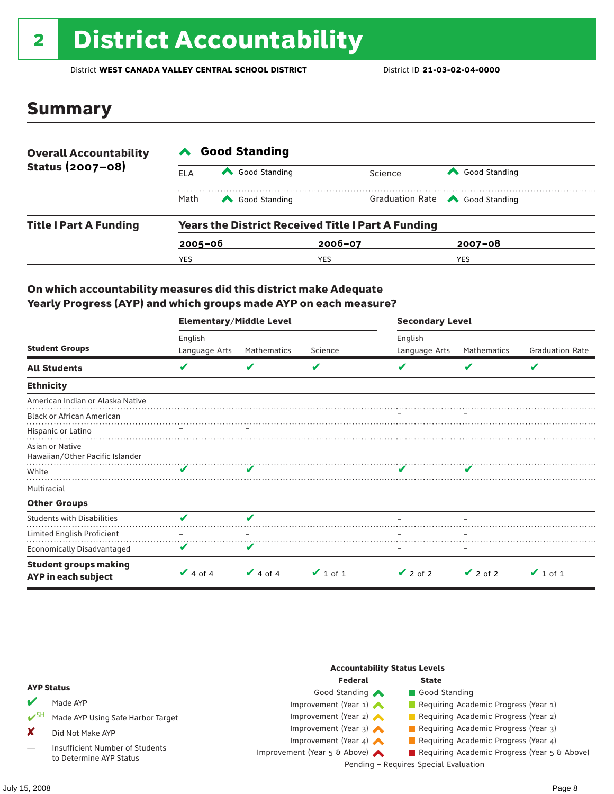# 2 District Accountability

District **WEST CANADA VALLEY CENTRAL SCHOOL DISTRICT** District ID **21-03-02-04-0000**

### Summary

| <b>Overall Accountability</b> | <b>Good Standing</b> |                                                           |     |         |                                       |  |  |
|-------------------------------|----------------------|-----------------------------------------------------------|-----|---------|---------------------------------------|--|--|
| Status (2007-08)              | ELA                  | Good Standing                                             |     | Science | Good Standing                         |  |  |
|                               | Math                 | Good Standing                                             |     |         | Graduation Rate <a> Good Standing</a> |  |  |
| <b>Title I Part A Funding</b> |                      | <b>Years the District Received Title I Part A Funding</b> |     |         |                                       |  |  |
|                               |                      | $2005 - 06$                                               |     |         | $2007 - 08$                           |  |  |
|                               | YES                  |                                                           | YES |         | <b>YES</b>                            |  |  |

### On which accountability measures did this district make Adequate Yearly Progress (AYP) and which groups made AYP on each measure?

|                                                     | <b>Elementary/Middle Level</b> |               |               | <b>Secondary Level</b> |               |                        |  |
|-----------------------------------------------------|--------------------------------|---------------|---------------|------------------------|---------------|------------------------|--|
|                                                     | English                        |               |               | English                |               |                        |  |
| <b>Student Groups</b>                               | Language Arts                  | Mathematics   | Science       | Language Arts          | Mathematics   | <b>Graduation Rate</b> |  |
| <b>All Students</b>                                 | V                              | V             | V             |                        | V             | V                      |  |
| <b>Ethnicity</b>                                    |                                |               |               |                        |               |                        |  |
| American Indian or Alaska Native                    |                                |               |               |                        |               |                        |  |
| <b>Black or African American</b>                    |                                |               |               |                        |               |                        |  |
| Hispanic or Latino                                  |                                |               |               |                        |               |                        |  |
| Asian or Native<br>Hawaiian/Other Pacific Islander  |                                |               |               |                        |               |                        |  |
| White                                               | ✔                              |               |               | $\sim$                 |               |                        |  |
| Multiracial                                         |                                |               |               |                        |               |                        |  |
| <b>Other Groups</b>                                 |                                |               |               |                        |               |                        |  |
| <b>Students with Disabilities</b>                   | v                              | ✔             |               |                        |               |                        |  |
| Limited English Proficient                          |                                |               |               |                        |               |                        |  |
| <b>Economically Disadvantaged</b>                   | V                              | V             |               |                        |               |                        |  |
| <b>Student groups making</b><br>AYP in each subject | $\vee$ 4 of 4                  | $\vee$ 4 of 4 | $\vee$ 1 of 1 | $\vee$ 2 of 2          | $\vee$ 2 of 2 | $\vee$ 1 of 1          |  |

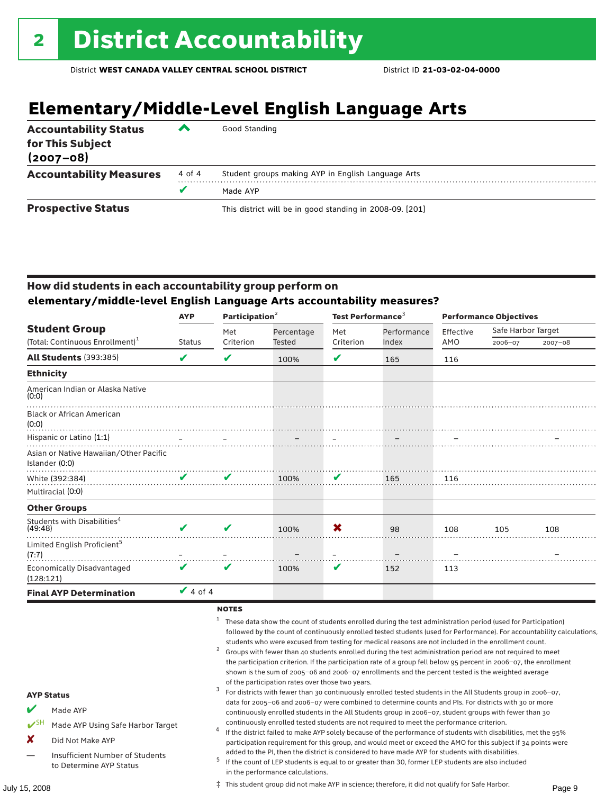# **Elementary/Middle-Level English Language Arts**

| <b>Accountability Status</b><br>for This Subject<br>$(2007 - 08)$ | ▰      | Good Standing                                            |
|-------------------------------------------------------------------|--------|----------------------------------------------------------|
| <b>Accountability Measures</b>                                    | 4 of 4 | Student groups making AYP in English Language Arts       |
|                                                                   | v      | Made AYP                                                 |
| <b>Prospective Status</b>                                         |        | This district will be in good standing in 2008-09. [201] |

### How did students in each accountability group perform on **elementary/middle-level English Language Arts accountability measures?**

|                                                          | <b>AYP</b>                       | Participation <sup>2</sup> |            | Test Performance <sup>3</sup> |             | <b>Performance Objectives</b> |                    |             |
|----------------------------------------------------------|----------------------------------|----------------------------|------------|-------------------------------|-------------|-------------------------------|--------------------|-------------|
| <b>Student Group</b>                                     |                                  | Met                        | Percentage | Met                           | Performance | Effective                     | Safe Harbor Target |             |
| (Total: Continuous Enrollment) <sup>1</sup>              | <b>Status</b>                    | Criterion                  | Tested     | Criterion                     | Index       | AMO                           | 2006-07            | $2007 - 08$ |
| <b>All Students (393:385)</b>                            | V                                | V                          | 100%       | V                             | 165         | 116                           |                    |             |
| <b>Ethnicity</b>                                         |                                  |                            |            |                               |             |                               |                    |             |
| American Indian or Alaska Native<br>(0:0)                |                                  |                            |            |                               |             |                               |                    |             |
| <b>Black or African American</b><br>(0:0)                |                                  |                            |            |                               |             |                               |                    |             |
| Hispanic or Latino (1:1)                                 | $\mathcal{L} = \{1, \ldots, n\}$ |                            |            |                               |             |                               |                    |             |
| Asian or Native Hawaiian/Other Pacific<br>Islander (0:0) |                                  |                            |            |                               |             |                               |                    |             |
| White (392:384)                                          | $\checkmark$                     | V                          | 100%       | V                             | 165         | 116                           |                    |             |
| Multiracial (0:0)                                        |                                  |                            |            |                               |             |                               |                    |             |
| <b>Other Groups</b>                                      |                                  |                            |            |                               |             |                               |                    |             |
| Students with Disabilities <sup>4</sup><br>(49:48)       |                                  | V                          | 100%       | X                             | 98          | 108                           | 105                | 108         |
| Limited English Proficient <sup>5</sup><br>(7:7)         |                                  |                            |            |                               |             |                               |                    |             |
| <b>Economically Disadvantaged</b><br>(128:121)           | V                                | V                          | 100%       | V                             | 152         | 113                           |                    |             |
| <b>Final AYP Determination</b>                           | $\vee$ 4 of 4                    |                            |            |                               |             |                               |                    |             |

#### **NOTES**

<sup>1</sup> These data show the count of students enrolled during the test administration period (used for Participation) followed by the count of continuously enrolled tested students (used for Performance). For accountability calculations,

- students who were excused from testing for medical reasons are not included in the enrollment count.<br>2 Groups with fewer than 40 students enrolled during the test administration period are not required to meet the participation criterion. If the participation rate of a group fell below 95 percent in 2006–07, the enrollment shown is the sum of 2005–06 and 2006–07 enrollments and the percent tested is the weighted average
- of the participation rates over those two years.<br><sup>3</sup> For districts with fewer than 30 continuously enrolled tested students in the All Students group in 2006–07, data for 2005–06 and 2006–07 were combined to determine counts and PIs. For districts with 30 or more continuously enrolled students in the All Students group in 2006–07, student groups with fewer than 30
- continuously enrolled tested students are not required to meet the performance criterion. <sup>4</sup> If the district failed to make AYP solely because of the performance of students with disabilities, met the 95% participation requirement for this group, and would meet or exceed the AMO for this subject if 34 points were
- added to the PI, then the district is considered to have made AYP for students with disabilities.<br><sup>5</sup> If the count of LEP students is equal to or greater than 30, former LEP students are also included in the performance calculations.

#### AYP Status

#### Made AYP

- ✔SH Made AYP Using Safe Harbor Target
- X Did Not Make AYP
- Insufficient Number of Students to Determine AYP Status

July 15, 2008 Page 9 ‡ This student group did not make AYP in science; therefore, it did not qualify for Safe Harbor.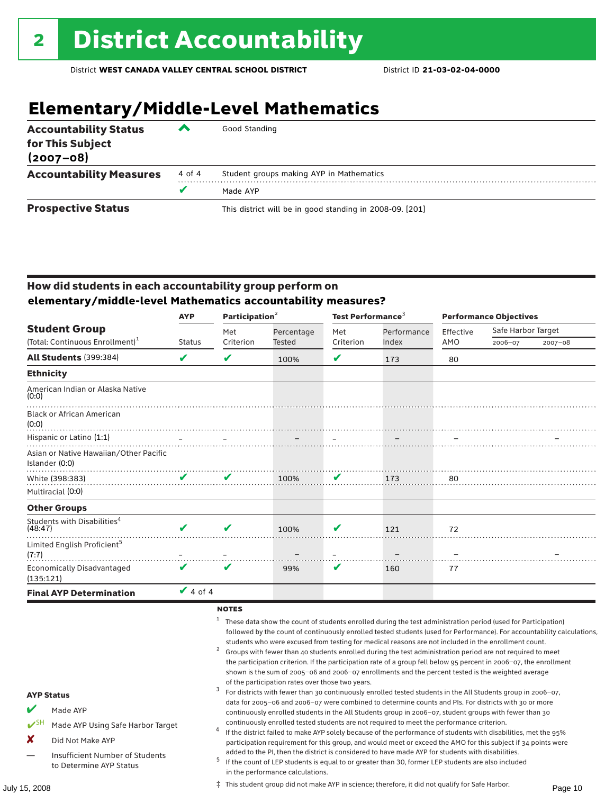# **Elementary/Middle-Level Mathematics**

| <b>Accountability Status</b><br>for This Subject<br>$(2007 - 08)$ | ▰      | Good Standing                                            |
|-------------------------------------------------------------------|--------|----------------------------------------------------------|
| <b>Accountability Measures</b>                                    | 4 of 4 | Student groups making AYP in Mathematics                 |
|                                                                   | v      | Made AYP                                                 |
| <b>Prospective Status</b>                                         |        | This district will be in good standing in 2008-09. [201] |

### How did students in each accountability group perform on **elementary/middle-level Mathematics accountability measures?**

|                                                          | <b>AYP</b>           | Participation <sup>2</sup> |            | Test Performance <sup>3</sup> |             | <b>Performance Objectives</b> |                    |             |
|----------------------------------------------------------|----------------------|----------------------------|------------|-------------------------------|-------------|-------------------------------|--------------------|-------------|
| <b>Student Group</b>                                     |                      | Met                        | Percentage | Met                           | Performance | Effective                     | Safe Harbor Target |             |
| (Total: Continuous Enrollment) <sup>1</sup>              | <b>Status</b>        | Criterion                  | Tested     | Criterion                     | Index       | AMO                           | 2006-07            | $2007 - 08$ |
| <b>All Students (399:384)</b>                            | V                    | V                          | 100%       | V                             | 173         | 80                            |                    |             |
| <b>Ethnicity</b>                                         |                      |                            |            |                               |             |                               |                    |             |
| American Indian or Alaska Native<br>(0:0)                |                      |                            |            |                               |             |                               |                    |             |
| <b>Black or African American</b><br>(0:0)                |                      |                            |            |                               |             |                               |                    |             |
| Hispanic or Latino (1:1)                                 | $\sim$ $\sim$ $\sim$ |                            |            |                               |             |                               |                    |             |
| Asian or Native Hawaiian/Other Pacific<br>Islander (0:0) |                      |                            |            |                               |             |                               |                    |             |
| White (398:383)                                          | ✔                    | V                          | 100%       | V                             | 173         | 80                            |                    |             |
| Multiracial (0:0)                                        |                      |                            |            |                               |             |                               |                    |             |
| <b>Other Groups</b>                                      |                      |                            |            |                               |             |                               |                    |             |
| Students with Disabilities <sup>4</sup><br>(48:47)       |                      | V                          | 100%       | V                             | 121         | 72                            |                    |             |
| Limited English Proficient <sup>5</sup><br>(7:7)         |                      |                            |            |                               |             |                               |                    |             |
| <b>Economically Disadvantaged</b><br>(135:121)           | V                    | V                          | 99%        | V                             | 160         | 77                            |                    |             |
| <b>Final AYP Determination</b>                           | $\vee$ 4 of 4        |                            |            |                               |             |                               |                    |             |

#### **NOTES**

<sup>1</sup> These data show the count of students enrolled during the test administration period (used for Participation) followed by the count of continuously enrolled tested students (used for Performance). For accountability calculations,

- students who were excused from testing for medical reasons are not included in the enrollment count.<br>2 Groups with fewer than 40 students enrolled during the test administration period are not required to meet the participation criterion. If the participation rate of a group fell below 95 percent in 2006–07, the enrollment shown is the sum of 2005–06 and 2006–07 enrollments and the percent tested is the weighted average
- of the participation rates over those two years.<br><sup>3</sup> For districts with fewer than 30 continuously enrolled tested students in the All Students group in 2006–07, data for 2005–06 and 2006–07 were combined to determine counts and PIs. For districts with 30 or more continuously enrolled students in the All Students group in 2006–07, student groups with fewer than 30
- continuously enrolled tested students are not required to meet the performance criterion. <sup>4</sup> If the district failed to make AYP solely because of the performance of students with disabilities, met the 95% participation requirement for this group, and would meet or exceed the AMO for this subject if 34 points were
- added to the PI, then the district is considered to have made AYP for students with disabilities.<br><sup>5</sup> If the count of LEP students is equal to or greater than 30, former LEP students are also included in the performance calculations.

### AYP Status

- Made AYP
- ✔SH Made AYP Using Safe Harbor Target
- X Did Not Make AYP
- Insufficient Number of Students to Determine AYP Status

July 15, 2008 Page 10 ‡ This student group did not make AYP in science; therefore, it did not qualify for Safe Harbor.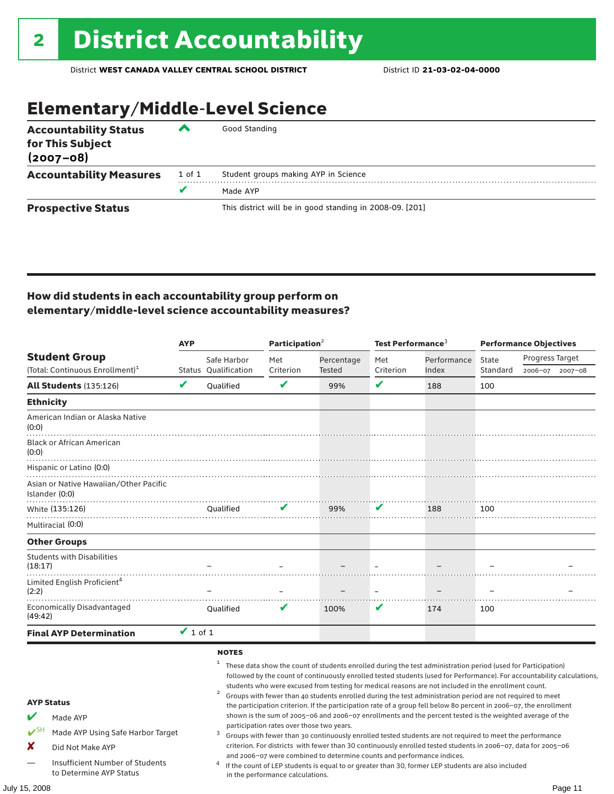# Elementary/Middle-Level Science

| <b>Accountability Status</b><br>for This Subject<br>$(2007 - 08)$ | ◚      | Good Standing                                            |
|-------------------------------------------------------------------|--------|----------------------------------------------------------|
| <b>Accountability Measures</b>                                    | 1 of 1 | Student groups making AYP in Science                     |
|                                                                   | v      | Made AYP                                                 |
| <b>Prospective Status</b>                                         |        | This district will be in good standing in 2008-09. [201] |

### How did students in each accountability group perform on elementary/middle-level science accountability measures?

|                                                |                                                                                                                                        | <b>AYP</b>    |                                              | Participation <sup>2</sup>                                                    |                                                                        | Test Performance <sup>3</sup> |                                                                                                                                                                                                                                                                                                                                                                                                                                                                                                                                                                                                                                                                                                                                                                                                                                                                                                                                                                                                                                       | <b>Performance Objectives</b> |                 |             |
|------------------------------------------------|----------------------------------------------------------------------------------------------------------------------------------------|---------------|----------------------------------------------|-------------------------------------------------------------------------------|------------------------------------------------------------------------|-------------------------------|---------------------------------------------------------------------------------------------------------------------------------------------------------------------------------------------------------------------------------------------------------------------------------------------------------------------------------------------------------------------------------------------------------------------------------------------------------------------------------------------------------------------------------------------------------------------------------------------------------------------------------------------------------------------------------------------------------------------------------------------------------------------------------------------------------------------------------------------------------------------------------------------------------------------------------------------------------------------------------------------------------------------------------------|-------------------------------|-----------------|-------------|
|                                                | <b>Student Group</b>                                                                                                                   |               | Safe Harbor                                  | Met                                                                           | Percentage                                                             | Met                           | Performance                                                                                                                                                                                                                                                                                                                                                                                                                                                                                                                                                                                                                                                                                                                                                                                                                                                                                                                                                                                                                           | State                         | Progress Target |             |
|                                                | (Total: Continuous Enrollment) <sup>1</sup>                                                                                            |               | Status Qualification                         | Criterion                                                                     | Tested                                                                 | Criterion                     | Index                                                                                                                                                                                                                                                                                                                                                                                                                                                                                                                                                                                                                                                                                                                                                                                                                                                                                                                                                                                                                                 | Standard                      | 2006-07         | $2007 - 08$ |
|                                                | <b>All Students (135:126)</b>                                                                                                          | V             | Qualified                                    | V                                                                             | 99%                                                                    | $\mathbf{v}$                  | 188                                                                                                                                                                                                                                                                                                                                                                                                                                                                                                                                                                                                                                                                                                                                                                                                                                                                                                                                                                                                                                   | 100                           |                 |             |
| <b>Ethnicity</b>                               |                                                                                                                                        |               |                                              |                                                                               |                                                                        |                               |                                                                                                                                                                                                                                                                                                                                                                                                                                                                                                                                                                                                                                                                                                                                                                                                                                                                                                                                                                                                                                       |                               |                 |             |
| (0:0)                                          | American Indian or Alaska Native                                                                                                       |               |                                              |                                                                               |                                                                        |                               |                                                                                                                                                                                                                                                                                                                                                                                                                                                                                                                                                                                                                                                                                                                                                                                                                                                                                                                                                                                                                                       |                               |                 |             |
| (0:0)                                          | <b>Black or African American</b>                                                                                                       |               |                                              |                                                                               |                                                                        |                               |                                                                                                                                                                                                                                                                                                                                                                                                                                                                                                                                                                                                                                                                                                                                                                                                                                                                                                                                                                                                                                       |                               |                 |             |
|                                                | Hispanic or Latino (0:0)                                                                                                               |               |                                              |                                                                               |                                                                        |                               |                                                                                                                                                                                                                                                                                                                                                                                                                                                                                                                                                                                                                                                                                                                                                                                                                                                                                                                                                                                                                                       |                               |                 |             |
| Islander (0:0)                                 | Asian or Native Hawaiian/Other Pacific                                                                                                 |               |                                              |                                                                               |                                                                        |                               |                                                                                                                                                                                                                                                                                                                                                                                                                                                                                                                                                                                                                                                                                                                                                                                                                                                                                                                                                                                                                                       |                               |                 |             |
|                                                | White (135:126)                                                                                                                        |               | <b>Qualified</b>                             | V                                                                             | 99%                                                                    | V                             | 188                                                                                                                                                                                                                                                                                                                                                                                                                                                                                                                                                                                                                                                                                                                                                                                                                                                                                                                                                                                                                                   | 100                           |                 |             |
|                                                | Multiracial (0:0)                                                                                                                      |               |                                              |                                                                               |                                                                        |                               |                                                                                                                                                                                                                                                                                                                                                                                                                                                                                                                                                                                                                                                                                                                                                                                                                                                                                                                                                                                                                                       |                               |                 |             |
|                                                | <b>Other Groups</b>                                                                                                                    |               |                                              |                                                                               |                                                                        |                               |                                                                                                                                                                                                                                                                                                                                                                                                                                                                                                                                                                                                                                                                                                                                                                                                                                                                                                                                                                                                                                       |                               |                 |             |
| (18:17)                                        | <b>Students with Disabilities</b>                                                                                                      |               |                                              |                                                                               |                                                                        |                               |                                                                                                                                                                                                                                                                                                                                                                                                                                                                                                                                                                                                                                                                                                                                                                                                                                                                                                                                                                                                                                       |                               |                 |             |
| (2:2)                                          | Limited English Proficient <sup>4</sup>                                                                                                |               |                                              |                                                                               |                                                                        |                               |                                                                                                                                                                                                                                                                                                                                                                                                                                                                                                                                                                                                                                                                                                                                                                                                                                                                                                                                                                                                                                       |                               |                 |             |
| (49:42)                                        | <b>Economically Disadvantaged</b>                                                                                                      |               | <b>Oualified</b>                             | V                                                                             | 100%                                                                   | v                             | 174                                                                                                                                                                                                                                                                                                                                                                                                                                                                                                                                                                                                                                                                                                                                                                                                                                                                                                                                                                                                                                   | 100                           |                 |             |
|                                                | <b>Final AYP Determination</b>                                                                                                         | $\vee$ 1 of 1 |                                              |                                                                               |                                                                        |                               |                                                                                                                                                                                                                                                                                                                                                                                                                                                                                                                                                                                                                                                                                                                                                                                                                                                                                                                                                                                                                                       |                               |                 |             |
| <b>AYP Status</b><br>V<br>$V^{\text{SH}}$<br>X | Made AYP<br>Made AYP Using Safe Harbor Target<br>Did Not Make AYP<br><b>Insufficient Number of Students</b><br>to Determine AYP Status |               | <b>NOTES</b><br>$\overline{\mathbf{c}}$<br>3 | participation rates over those two years.<br>in the performance calculations. | and 2006-07 were combined to determine counts and performance indices. |                               | These data show the count of students enrolled during the test administration period (used for Participation)<br>followed by the count of continuously enrolled tested students (used for Performance). For accountability calculations,<br>students who were excused from testing for medical reasons are not included in the enrollment count.<br>Groups with fewer than 40 students enrolled during the test administration period are not required to meet<br>the participation criterion. If the participation rate of a group fell below 80 percent in 2006-07, the enrollment<br>shown is the sum of 2005-06 and 2006-07 enrollments and the percent tested is the weighted average of the<br>Groups with fewer than 30 continuously enrolled tested students are not required to meet the performance<br>criterion. For districts with fewer than 30 continuously enrolled tested students in 2006-07, data for 2005-06<br>If the count of LEP students is equal to or greater than 30, former LEP students are also included |                               |                 |             |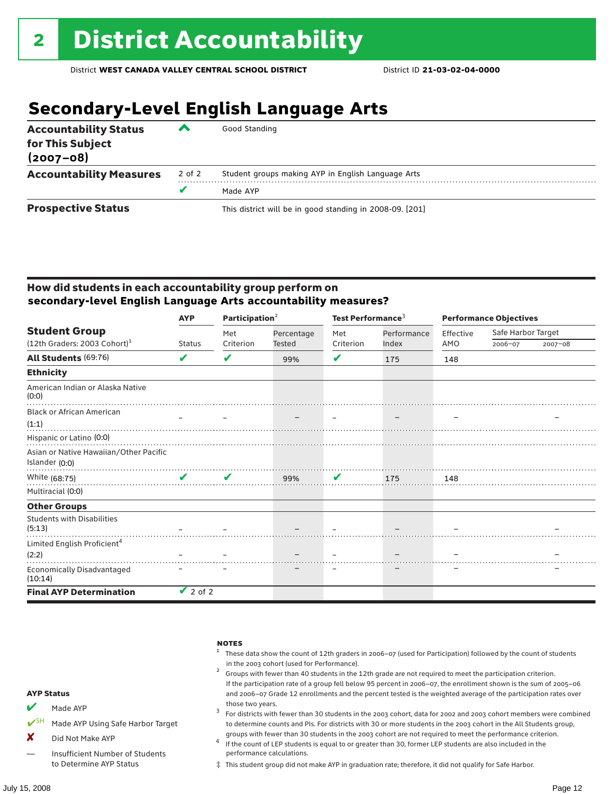# **Secondary-Level English Language Arts**

| <b>Accountability Status</b><br>for This Subject<br>$(2007 - 08)$ | ‴      | Good Standing                                            |
|-------------------------------------------------------------------|--------|----------------------------------------------------------|
| <b>Accountability Measures</b>                                    | 2 of 2 | Student groups making AYP in English Language Arts       |
|                                                                   | v      | Made AYP                                                 |
| <b>Prospective Status</b>                                         |        | This district will be in good standing in 2008-09. [201] |

### How did students in each accountability group perform on **secondary-level English Language Arts accountability measures?**

|                                              | <b>AYP</b>    | Participation <sup>2</sup> |            | Test Performance <sup>3</sup> |             | <b>Performance Objectives</b> |                    |             |
|----------------------------------------------|---------------|----------------------------|------------|-------------------------------|-------------|-------------------------------|--------------------|-------------|
| <b>Student Group</b>                         |               | Met                        | Percentage | Met                           | Performance | Effective                     | Safe Harbor Target |             |
| $(12th$ Graders: 2003 Cohort) <sup>1</sup>   | <b>Status</b> | Criterion                  | Tested     | Criterion                     | Index       | AMO                           | 2006-07            | $2007 - 08$ |
| <b>All Students (69:76)</b>                  | V             | V                          | 99%        | V                             | 175         | 148                           |                    |             |
| <b>Ethnicity</b>                             |               |                            |            |                               |             |                               |                    |             |
| American Indian or Alaska Native<br>(0:0)    |               |                            |            |                               |             |                               |                    |             |
| <b>Black or African American</b>             |               |                            |            |                               |             |                               |                    |             |
| (1:1)                                        |               |                            |            |                               |             |                               |                    |             |
| Hispanic or Latino (0:0)                     |               |                            |            |                               |             |                               |                    |             |
| Asian or Native Hawaiian/Other Pacific       |               |                            |            |                               |             |                               |                    |             |
| Islander (0:0)                               |               |                            |            |                               |             |                               |                    |             |
| White (68:75)                                | $\mathbf{v}$  | V                          | 99%        | $\mathbf{v}$                  | 175         | 148                           |                    |             |
| Multiracial (0:0)                            |               |                            |            |                               |             |                               |                    |             |
| <b>Other Groups</b>                          |               |                            |            |                               |             |                               |                    |             |
| <b>Students with Disabilities</b><br>(5:13)  |               |                            |            |                               |             |                               |                    |             |
| Limited English Proficient <sup>4</sup>      |               |                            |            |                               |             |                               |                    |             |
| (2:2)                                        |               |                            |            |                               |             |                               |                    |             |
| <b>Economically Disadvantaged</b><br>(10:14) |               |                            |            |                               |             |                               |                    |             |
| <b>Final AYP Determination</b>               | $\vee$ 2 of 2 |                            |            |                               |             |                               |                    |             |



‡ This student group did not make AYP in graduation rate; therefore, it did not qualify for Safe Harbor.

to Determine AYP Status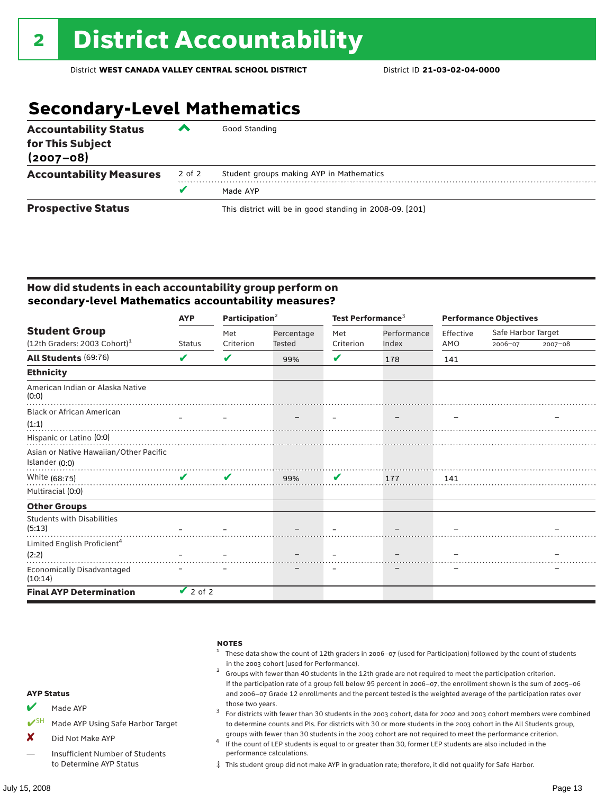# **Secondary-Level Mathematics**

| <b>Accountability Status</b><br>for This Subject<br>$(2007 - 08)$ | ▰      | Good Standing                                            |
|-------------------------------------------------------------------|--------|----------------------------------------------------------|
| <b>Accountability Measures</b>                                    | 2 of 2 | Student groups making AYP in Mathematics                 |
|                                                                   |        | Made AYP                                                 |
| <b>Prospective Status</b>                                         |        | This district will be in good standing in 2008-09. [201] |

### How did students in each accountability group perform on **secondary-level Mathematics accountability measures?**

|                                              | <b>AYP</b>         | Participation $2$ |            | Test Performance <sup>3</sup> |             | <b>Performance Objectives</b> |                    |             |
|----------------------------------------------|--------------------|-------------------|------------|-------------------------------|-------------|-------------------------------|--------------------|-------------|
| <b>Student Group</b>                         |                    | Met               | Percentage | Met                           | Performance | Effective                     | Safe Harbor Target |             |
| $(12th$ Graders: 2003 Cohort) <sup>1</sup>   | <b>Status</b>      | Criterion         | Tested     | Criterion                     | Index       | AMO                           | 2006-07            | $2007 - 08$ |
| <b>All Students (69:76)</b>                  | V                  | V                 | 99%        | V                             | 178         | 141                           |                    |             |
| <b>Ethnicity</b>                             |                    |                   |            |                               |             |                               |                    |             |
| American Indian or Alaska Native<br>(0:0)    |                    |                   |            |                               |             |                               |                    |             |
| <b>Black or African American</b>             |                    |                   |            |                               |             |                               |                    |             |
| (1:1)                                        |                    |                   |            |                               |             |                               |                    |             |
| Hispanic or Latino (0:0)                     |                    |                   |            |                               |             |                               |                    |             |
| Asian or Native Hawaiian/Other Pacific       |                    |                   |            |                               |             |                               |                    |             |
| Islander (0:0)                               |                    |                   |            |                               |             |                               |                    |             |
| White (68:75)                                | $\boldsymbol{\nu}$ | V                 | 99%        | $\mathbf{v}$                  | 177         | 141                           |                    |             |
| Multiracial (0:0)                            |                    |                   |            |                               |             |                               |                    |             |
| <b>Other Groups</b>                          |                    |                   |            |                               |             |                               |                    |             |
| <b>Students with Disabilities</b><br>(5:13)  |                    |                   |            |                               |             |                               |                    |             |
| Limited English Proficient <sup>4</sup>      |                    |                   |            |                               |             |                               |                    |             |
| (2:2)                                        |                    |                   |            |                               |             |                               |                    |             |
| <b>Economically Disadvantaged</b><br>(10:14) |                    |                   |            |                               |             |                               |                    |             |
| <b>Final AYP Determination</b>               | $\vee$ 2 of 2      |                   |            |                               |             |                               |                    |             |



‡ This student group did not make AYP in graduation rate; therefore, it did not qualify for Safe Harbor.

to Determine AYP Status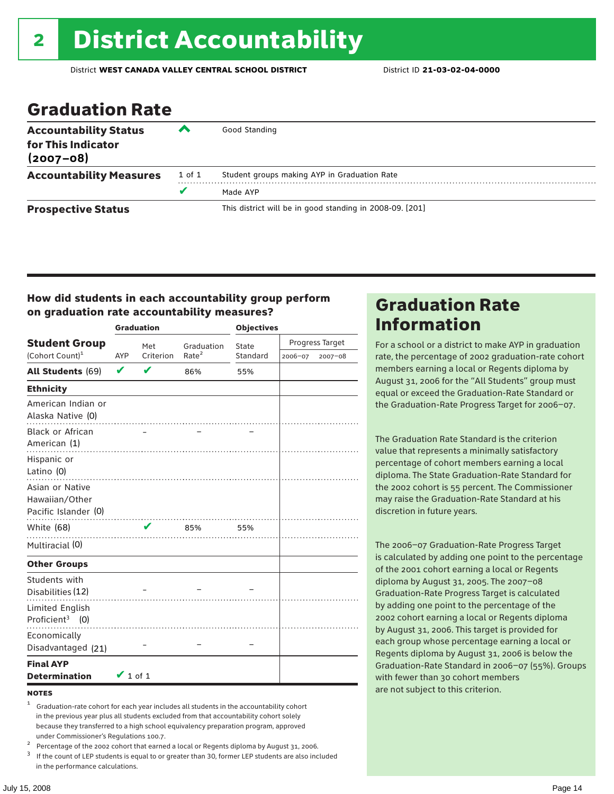### Graduation Rate

| <b>Accountability Status</b><br>for This Indicator<br>$(2007 - 08)$ | ▰      | Good Standing                                            |
|---------------------------------------------------------------------|--------|----------------------------------------------------------|
| <b>Accountability Measures</b>                                      | 1 of 1 | Student groups making AYP in Graduation Rate             |
|                                                                     | u      | Made AYP                                                 |
| <b>Prospective Status</b>                                           |        | This district will be in good standing in 2008-09. [201] |

### How did students in each accountability group perform on graduation rate accountability measures?

|                                                           | <b>Graduation</b> |           |                   |          | <b>Objectives</b> |         |  |  |
|-----------------------------------------------------------|-------------------|-----------|-------------------|----------|-------------------|---------|--|--|
| <b>Student Group</b>                                      |                   | Met       | Graduation        | State    | Progress Target   |         |  |  |
| (Cohort Count) <sup>1</sup>                               | AYP               | Criterion | Rate <sup>2</sup> | Standard | 2006-07           | 2007-08 |  |  |
| <b>All Students (69)</b>                                  | V                 | V         | 86%               | 55%      |                   |         |  |  |
| <b>Ethnicity</b>                                          |                   |           |                   |          |                   |         |  |  |
| American Indian or<br>Alaska Native (0)                   |                   |           |                   |          |                   |         |  |  |
| <b>Black or African</b><br>American (1)                   |                   |           |                   |          |                   |         |  |  |
| Hispanic or<br>Latino (0)                                 |                   |           |                   |          |                   |         |  |  |
| Asian or Native<br>Hawaiian/Other<br>Pacific Islander (0) |                   |           |                   |          |                   |         |  |  |
| White (68)                                                |                   | V         | 85%               | 55%      |                   |         |  |  |
| Multiracial (0)                                           |                   |           |                   |          |                   |         |  |  |
| <b>Other Groups</b>                                       |                   |           |                   |          |                   |         |  |  |
| Students with<br>Disabilities (12)                        |                   |           |                   |          |                   |         |  |  |
| Limited English<br>Proficient <sup>3</sup> $(0)$          |                   |           |                   |          |                   |         |  |  |
| Economically<br>Disadvantaged (21)                        |                   |           |                   |          |                   |         |  |  |
| <b>Final AYP</b><br><b>Determination</b>                  | $\vee$ 1 of 1     |           |                   |          |                   |         |  |  |

#### **NOTES**

- <sup>1</sup> Graduation-rate cohort for each year includes all students in the accountability cohort in the previous year plus all students excluded from that accountability cohort solely because they transferred to a high school equivalency preparation program, approved
- 
- under Commissioner's Regulations 100.7.<br>
Percentage of the 2002 cohort that earned a local or Regents diploma by August 31, 2006.<br>
<sup>3</sup> If the count of LEP students is equal to or greater than 30, former LEP students are a in the performance calculations.

### Graduation Rate Information

For a school or a district to make AYP in graduation rate, the percentage of 2002 graduation-rate cohort members earning a local or Regents diploma by August 31, 2006 for the "All Students" group must equal or exceed the Graduation-Rate Standard or the Graduation-Rate Progress Target for 2006–07.

The Graduation Rate Standard is the criterion value that represents a minimally satisfactory percentage of cohort members earning a local diploma. The State Graduation-Rate Standard for the 2002 cohort is 55 percent. The Commissioner may raise the Graduation-Rate Standard at his discretion in future years.

The 2006–07 Graduation-Rate Progress Target is calculated by adding one point to the percentage of the 2001 cohort earning a local or Regents diploma by August 31, 2005. The 2007–08 Graduation-Rate Progress Target is calculated by adding one point to the percentage of the 2002 cohort earning a local or Regents diploma by August 31, 2006. This target is provided for each group whose percentage earning a local or Regents diploma by August 31, 2006 is below the Graduation-Rate Standard in 2006–07 (55%). Groups with fewer than 30 cohort members are not subject to this criterion.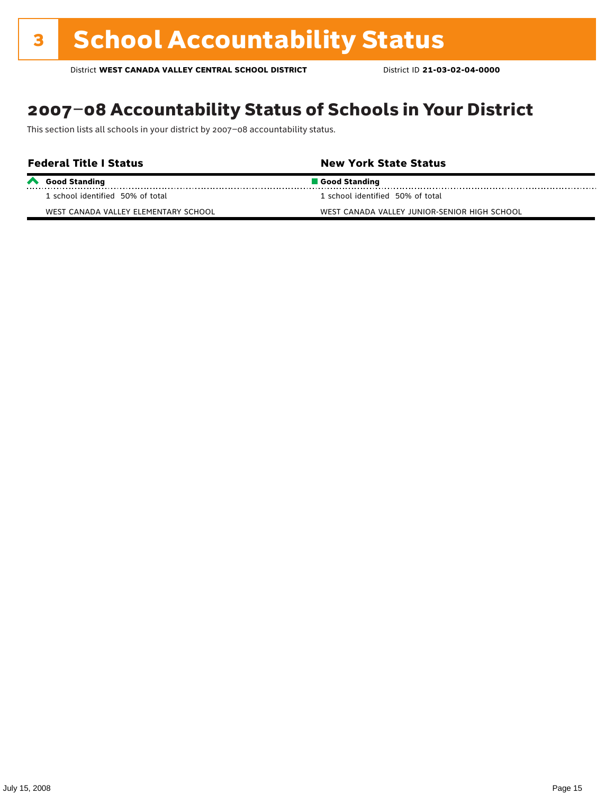# 2007–08 Accountability Status of Schools in Your District

This section lists all schools in your district by 2007–08 accountability status.

| <b>Federal Title I Status</b>        | <b>New York State Status</b>                 |  |  |  |  |  |
|--------------------------------------|----------------------------------------------|--|--|--|--|--|
| Good Standing                        | Good Standing                                |  |  |  |  |  |
| 1 school identified 50% of total     | 1 school identified 50% of total             |  |  |  |  |  |
| WEST CANADA VALLEY ELEMENTARY SCHOOL | WEST CANADA VALLEY JUNIOR-SENIOR HIGH SCHOOL |  |  |  |  |  |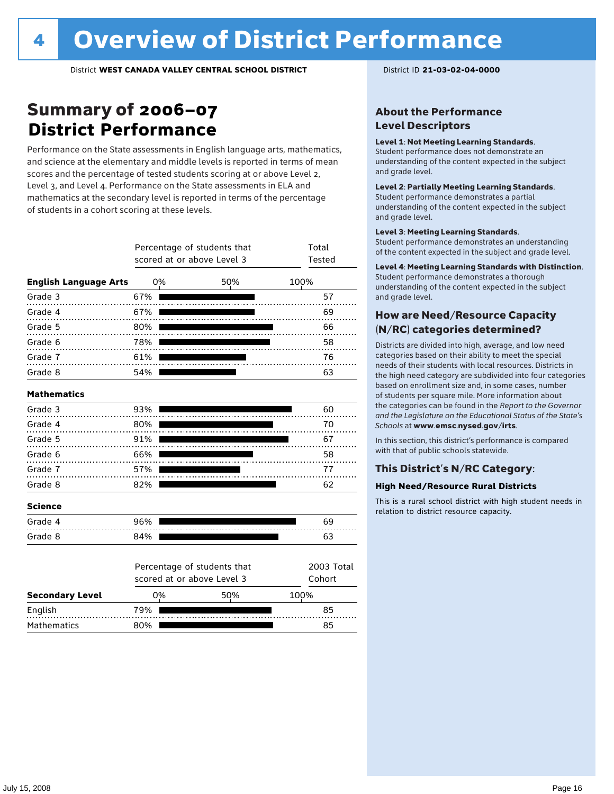### Summary of 2006–07 **District Performance**

Performance on the State assessments in English language arts, mathematics, and science at the elementary and middle levels is reported in terms of mean scores and the percentage of tested students scoring at or above Level 2, Level 3, and Level 4. Performance on the State assessments in ELA and mathematics at the secondary level is reported in terms of the percentage of students in a cohort scoring at these levels.

|                              |     | Percentage of students that<br>scored at or above Level 3 | Total<br>Tested |                      |
|------------------------------|-----|-----------------------------------------------------------|-----------------|----------------------|
| <b>English Language Arts</b> | 0%  |                                                           | 50%             | 100%                 |
| Grade 3                      | 67% |                                                           |                 | 57                   |
| Grade 4                      | 67% |                                                           |                 | 69                   |
| Grade 5                      | 80% |                                                           |                 | 66                   |
| Grade 6                      | 78% |                                                           |                 | 58                   |
| Grade 7                      | 61% |                                                           |                 | 76                   |
| Grade 8                      | 54% |                                                           |                 | 63                   |
| <b>Mathematics</b>           |     |                                                           |                 |                      |
| Grade 3                      | 93% |                                                           |                 | 60                   |
| Grade 4                      | 80% |                                                           |                 | 70                   |
| Grade 5                      | 91% |                                                           |                 | 67                   |
| Grade 6                      | 66% |                                                           |                 | 58                   |
| Grade 7                      | 57% |                                                           |                 | 77                   |
| Grade 8                      | 82% |                                                           |                 | 62                   |
| <b>Science</b>               |     |                                                           |                 |                      |
| Grade 4                      | 96% |                                                           |                 | 69                   |
| Grade 8                      | 84% |                                                           |                 | 63                   |
|                              |     | Percentage of students that<br>scored at or above Level 3 |                 | 2003 Total<br>Cohort |
| <b>Secondary Level</b>       | 0%  |                                                           | 50%             | 100%                 |

English 79% 85 Mathematics 80% 85

### About the Performance Level Descriptors

#### Level 1: Not Meeting Learning Standards.

Student performance does not demonstrate an understanding of the content expected in the subject and grade level.

#### Level 2: Partially Meeting Learning Standards.

Student performance demonstrates a partial understanding of the content expected in the subject and grade level.

#### Level 3: Meeting Learning Standards.

Student performance demonstrates an understanding of the content expected in the subject and grade level.

#### Level 4: Meeting Learning Standards with Distinction.

Student performance demonstrates a thorough understanding of the content expected in the subject and grade level.

### How are Need/Resource Capacity (N/RC) categories determined?

Districts are divided into high, average, and low need categories based on their ability to meet the special needs of their students with local resources. Districts in the high need category are subdivided into four categories based on enrollment size and, in some cases, number of students per square mile. More information about the categories can be found in the *Report to the Governor and the Legislature on the Educational Status of the State's Schools* at www.emsc.nysed.gov/irts.

In this section, this district's performance is compared with that of public schools statewide.

### This District's N/RC Category:

#### **High Need/Resource Rural Districts**

This is a rural school district with high student needs in relation to district resource capacity.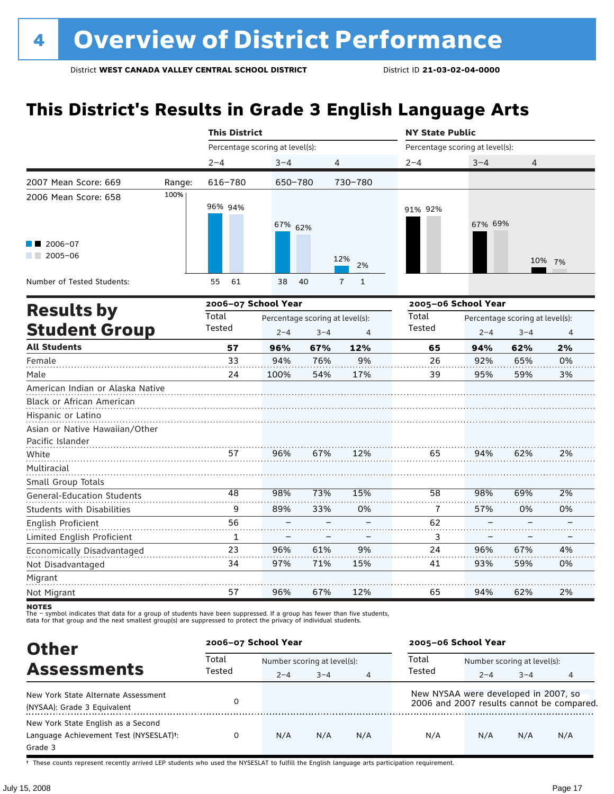# **This District's Results in Grade 3 English Language Arts**

|                                                                                                                                           |        | <b>This District</b>            |                                            |            |                   | <b>NY State Public</b>          |                     |                                                                                                                                                                                                           |          |
|-------------------------------------------------------------------------------------------------------------------------------------------|--------|---------------------------------|--------------------------------------------|------------|-------------------|---------------------------------|---------------------|-----------------------------------------------------------------------------------------------------------------------------------------------------------------------------------------------------------|----------|
|                                                                                                                                           |        | Percentage scoring at level(s): |                                            |            |                   | Percentage scoring at level(s): |                     | $3 - 4$<br>4<br>67% 69%<br>10% 7%<br>Percentage scoring at level(s):<br>$3 - 4$<br>$2 - 4$<br>94%<br>62%<br>92%<br>65%<br>59%<br>95%<br>94%<br>62%<br>98%<br>69%<br>57%<br>0%<br>96%<br>67%<br>93%<br>59% |          |
|                                                                                                                                           |        | $2 - 4$                         | $3 - 4$                                    |            | 4                 | $2 - 4$                         |                     |                                                                                                                                                                                                           |          |
| 2007 Mean Score: 669                                                                                                                      | Range: | 616-780                         | 650-780                                    |            | 730-780           |                                 |                     |                                                                                                                                                                                                           |          |
| 2006 Mean Score: 658                                                                                                                      | 100%   | 96% 94%                         | 67% 62%                                    |            |                   | 91% 92%                         |                     |                                                                                                                                                                                                           |          |
| $2006 - 07$<br>$2005 - 06$                                                                                                                |        |                                 |                                            |            | 12%<br>2%         |                                 |                     |                                                                                                                                                                                                           |          |
| Number of Tested Students:                                                                                                                |        | 61<br>55                        | 38                                         | 40         | $\mathbf{1}$<br>7 |                                 |                     |                                                                                                                                                                                                           |          |
|                                                                                                                                           |        | 2006-07 School Year             |                                            |            |                   |                                 | 2005-06 School Year |                                                                                                                                                                                                           |          |
| <b>Results by</b><br><b>Student Group</b>                                                                                                 |        | Total<br>Tested                 | Percentage scoring at level(s):<br>$2 - 4$ | $3 - 4$    | 4                 | Total<br><b>Tested</b>          |                     |                                                                                                                                                                                                           | 4        |
| <b>All Students</b>                                                                                                                       |        | 57                              | 96%                                        | 67%        | 12%               | 65                              |                     |                                                                                                                                                                                                           | 2%       |
| Female                                                                                                                                    |        | 33                              | 94%                                        | 76%        | 9%                | 26                              |                     |                                                                                                                                                                                                           | 0%       |
| Male                                                                                                                                      |        | 24                              | 100%                                       | 54%        | 17%               | 39                              |                     |                                                                                                                                                                                                           | 3%       |
| American Indian or Alaska Native<br>Black or African American<br>Hispanic or Latino<br>Asian or Native Hawaiian/Other<br>Pacific Islander |        |                                 |                                            |            |                   |                                 |                     |                                                                                                                                                                                                           |          |
| White                                                                                                                                     |        | 57                              | 96%                                        | 67%        | 12%               | 65                              |                     |                                                                                                                                                                                                           | 2%       |
| Multiracial<br>Small Group Totals                                                                                                         |        |                                 |                                            |            |                   |                                 |                     |                                                                                                                                                                                                           |          |
| <b>General-Education Students</b>                                                                                                         |        | 48                              | 98%                                        | 73%        | 15%               | 58                              |                     |                                                                                                                                                                                                           | 2%       |
| <b>Students with Disabilities</b>                                                                                                         |        | 9                               | 89%                                        | 33%        | 0%                | 7                               |                     |                                                                                                                                                                                                           | 0%       |
| English Proficient                                                                                                                        |        | 56                              |                                            |            |                   | 62                              |                     |                                                                                                                                                                                                           |          |
| Limited English Proficient                                                                                                                |        | 1                               |                                            |            |                   | 3                               |                     |                                                                                                                                                                                                           |          |
| Economically Disadvantaged<br>Not Disadvantaged                                                                                           |        | 23<br>34                        | 96%<br>97%                                 | 61%<br>71% | 9%<br>15%         | 24<br>41                        |                     |                                                                                                                                                                                                           | 4%<br>0% |
| Migrant<br>Not Migrant                                                                                                                    |        | 57                              | 96%                                        | 67%        | 12%               | 65                              | 94%                 | 62%                                                                                                                                                                                                       | 2%       |

**NOTES** 

The – symbol indicates that data for a group of students have been suppressed. If a group has fewer than five students,<br>data for that group and the next smallest group(s) are suppressed to protect the privacy of individual

| <b>Other</b>                           |                 | 2006-07 School Year         |         |                |                                      | 2005-06 School Year         |         |                                           |  |
|----------------------------------------|-----------------|-----------------------------|---------|----------------|--------------------------------------|-----------------------------|---------|-------------------------------------------|--|
|                                        | Total<br>Tested | Number scoring at level(s): |         |                | Total                                | Number scoring at level(s): |         |                                           |  |
| <b>Assessments</b>                     |                 | $2 - 4$                     | $3 - 4$ | $\overline{4}$ | Tested                               | $2 - 4$                     | $3 - 4$ | 4                                         |  |
| New York State Alternate Assessment    |                 |                             |         |                | New NYSAA were developed in 2007, so |                             |         |                                           |  |
| (NYSAA): Grade 3 Equivalent            |                 |                             |         |                |                                      |                             |         | 2006 and 2007 results cannot be compared. |  |
| New York State English as a Second     |                 |                             |         |                |                                      |                             |         |                                           |  |
| Language Achievement Test (NYSESLAT)t: | 0               | N/A                         | N/A     | N/A            | N/A                                  | N/A                         | N/A     | N/A                                       |  |
| Grade 3                                |                 |                             |         |                |                                      |                             |         |                                           |  |

† These counts represent recently arrived LEP students who used the NYSESLAT to fulfill the English language arts participation requirement.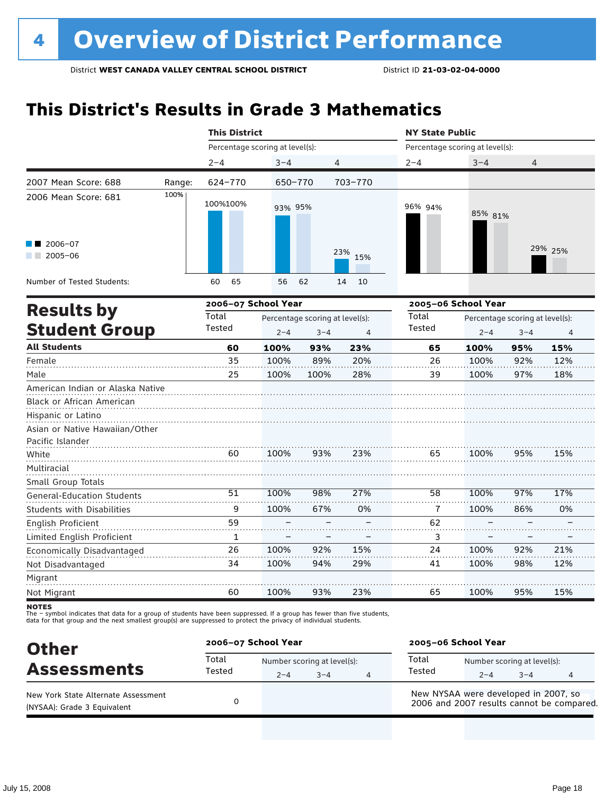### **This District's Results in Grade 3 Mathematics**

|                                                 |                                                                                                                                                                                                                                                                                                                                                                                                                                                                                                                                                                                          |          |         |                                 |     | <b>NY State Public</b> |                                                                                                                                                                                                                                                                         |     |         |  |
|-------------------------------------------------|------------------------------------------------------------------------------------------------------------------------------------------------------------------------------------------------------------------------------------------------------------------------------------------------------------------------------------------------------------------------------------------------------------------------------------------------------------------------------------------------------------------------------------------------------------------------------------------|----------|---------|---------------------------------|-----|------------------------|-------------------------------------------------------------------------------------------------------------------------------------------------------------------------------------------------------------------------------------------------------------------------|-----|---------|--|
|                                                 |                                                                                                                                                                                                                                                                                                                                                                                                                                                                                                                                                                                          |          |         |                                 |     |                        | Percentage scoring at level(s):<br>$2 - 4$<br>$3 - 4$<br>4<br>96% 94%<br>85% 81%<br>2005-06 School Year<br>Total<br>Percentage scoring at level(s):<br>Tested<br>$2 - 4$<br>$3 - 4$<br>100%<br>65<br>95%<br>26<br>100%<br>92%<br>39<br>100%<br>97%<br>100%<br>95%<br>65 |     |         |  |
|                                                 |                                                                                                                                                                                                                                                                                                                                                                                                                                                                                                                                                                                          | $2 - 4$  | $3 - 4$ |                                 |     |                        |                                                                                                                                                                                                                                                                         |     |         |  |
| 2007 Mean Score: 688                            | Range:                                                                                                                                                                                                                                                                                                                                                                                                                                                                                                                                                                                   | 624-770  |         |                                 |     |                        |                                                                                                                                                                                                                                                                         |     |         |  |
| 2006 Mean Score: 681                            | 100%                                                                                                                                                                                                                                                                                                                                                                                                                                                                                                                                                                                     | 100%100% |         |                                 |     |                        |                                                                                                                                                                                                                                                                         |     |         |  |
| 2006-07<br>2005-06<br>and the con-              |                                                                                                                                                                                                                                                                                                                                                                                                                                                                                                                                                                                          |          |         |                                 | 15% |                        |                                                                                                                                                                                                                                                                         |     | 29% 25% |  |
| Number of Tested Students:                      |                                                                                                                                                                                                                                                                                                                                                                                                                                                                                                                                                                                          | 65<br>60 | 56      |                                 | 10  |                        |                                                                                                                                                                                                                                                                         |     |         |  |
|                                                 |                                                                                                                                                                                                                                                                                                                                                                                                                                                                                                                                                                                          |          |         |                                 |     |                        |                                                                                                                                                                                                                                                                         |     |         |  |
|                                                 |                                                                                                                                                                                                                                                                                                                                                                                                                                                                                                                                                                                          | Total    |         | Percentage scoring at level(s): |     |                        |                                                                                                                                                                                                                                                                         |     |         |  |
|                                                 | <b>This District</b><br>Percentage scoring at level(s):<br>4<br>650-770<br>703-770<br>93% 95%<br>23%<br>62<br>14<br>2006-07 School Year<br><b>Results by</b><br><b>Student Group</b><br>Tested<br>$2 - 4$<br>$3 - 4$<br>$\overline{4}$<br>100%<br>23%<br>60<br>93%<br>35<br>100%<br>89%<br>20%<br>28%<br>25<br>100%<br>100%<br>American Indian or Alaska Native<br>Asian or Native Hawaiian/Other<br>93%<br>23%<br>100%<br>60<br>51<br>98%<br>27%<br>58<br>100%<br>9<br>100%<br>67%<br>0%<br>7<br>59<br>62<br>1<br>3<br>26<br>100%<br>92%<br>15%<br>24<br>34<br>100%<br>94%<br>29%<br>41 |          |         |                                 |     | 4                      |                                                                                                                                                                                                                                                                         |     |         |  |
| <b>All Students</b>                             |                                                                                                                                                                                                                                                                                                                                                                                                                                                                                                                                                                                          |          |         |                                 |     |                        |                                                                                                                                                                                                                                                                         |     | 15%     |  |
| Female                                          |                                                                                                                                                                                                                                                                                                                                                                                                                                                                                                                                                                                          |          |         |                                 |     |                        |                                                                                                                                                                                                                                                                         |     | 12%     |  |
| Male                                            |                                                                                                                                                                                                                                                                                                                                                                                                                                                                                                                                                                                          |          |         |                                 |     |                        |                                                                                                                                                                                                                                                                         |     | 18%     |  |
| Black or African American<br>Hispanic or Latino |                                                                                                                                                                                                                                                                                                                                                                                                                                                                                                                                                                                          |          |         |                                 |     |                        |                                                                                                                                                                                                                                                                         |     |         |  |
| Pacific Islander                                |                                                                                                                                                                                                                                                                                                                                                                                                                                                                                                                                                                                          |          |         |                                 |     |                        |                                                                                                                                                                                                                                                                         |     |         |  |
| White                                           |                                                                                                                                                                                                                                                                                                                                                                                                                                                                                                                                                                                          |          |         |                                 |     |                        |                                                                                                                                                                                                                                                                         |     | 15%     |  |
| Multiracial<br>Small Group Totals               |                                                                                                                                                                                                                                                                                                                                                                                                                                                                                                                                                                                          |          |         |                                 |     |                        |                                                                                                                                                                                                                                                                         |     |         |  |
| <b>General-Education Students</b>               |                                                                                                                                                                                                                                                                                                                                                                                                                                                                                                                                                                                          |          |         |                                 |     |                        | 100%                                                                                                                                                                                                                                                                    | 97% | 17%     |  |
| <b>Students with Disabilities</b>               |                                                                                                                                                                                                                                                                                                                                                                                                                                                                                                                                                                                          |          |         |                                 |     |                        | 100%                                                                                                                                                                                                                                                                    | 86% | 0%      |  |
| English Proficient                              |                                                                                                                                                                                                                                                                                                                                                                                                                                                                                                                                                                                          |          |         |                                 |     |                        |                                                                                                                                                                                                                                                                         |     |         |  |
| Limited English Proficient                      |                                                                                                                                                                                                                                                                                                                                                                                                                                                                                                                                                                                          |          |         |                                 |     |                        |                                                                                                                                                                                                                                                                         |     |         |  |
| Economically Disadvantaged                      |                                                                                                                                                                                                                                                                                                                                                                                                                                                                                                                                                                                          |          |         |                                 |     |                        | 100%                                                                                                                                                                                                                                                                    | 92% | 21%     |  |
| Not Disadvantaged                               |                                                                                                                                                                                                                                                                                                                                                                                                                                                                                                                                                                                          |          |         |                                 |     |                        | 100%                                                                                                                                                                                                                                                                    | 98% | 12%     |  |
| Migrant                                         |                                                                                                                                                                                                                                                                                                                                                                                                                                                                                                                                                                                          |          |         |                                 |     |                        |                                                                                                                                                                                                                                                                         |     |         |  |
| Not Migrant                                     |                                                                                                                                                                                                                                                                                                                                                                                                                                                                                                                                                                                          | 60       | 100%    | 93%                             | 23% | 65                     | 100%                                                                                                                                                                                                                                                                    | 95% | 15%     |  |

**NOTES** 

| <b>Other</b>                                                       | 2006-07 School Year |         |                                        |   | 2005-06 School Year |                                                                                   |                                        |   |  |
|--------------------------------------------------------------------|---------------------|---------|----------------------------------------|---|---------------------|-----------------------------------------------------------------------------------|----------------------------------------|---|--|
| <b>Assessments</b>                                                 | Total<br>Tested     | $2 - 4$ | Number scoring at level(s):<br>$3 - 4$ | 4 | Total<br>Tested     | $2 - 4$                                                                           | Number scoring at level(s):<br>$3 - 4$ | 4 |  |
| New York State Alternate Assessment<br>(NYSAA): Grade 3 Equivalent |                     |         |                                        |   |                     | New NYSAA were developed in 2007, so<br>2006 and 2007 results cannot be compared. |                                        |   |  |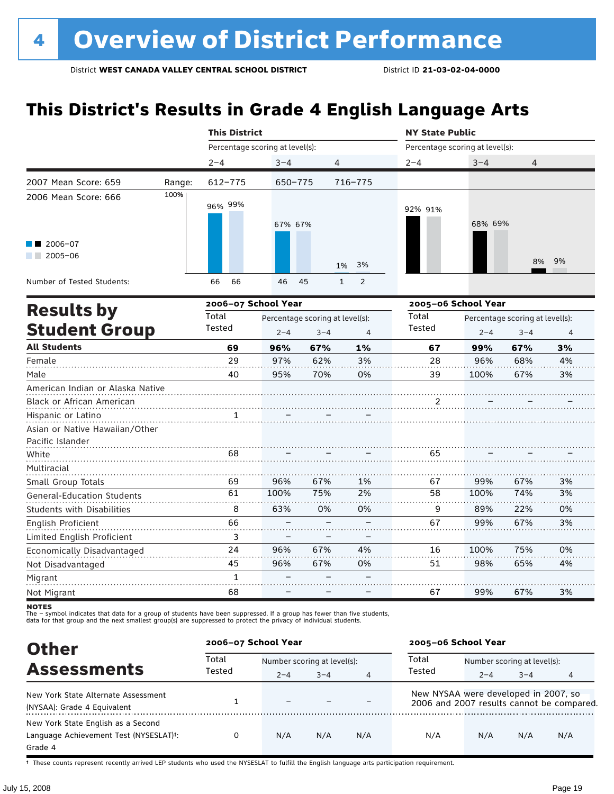# **This District's Results in Grade 4 English Language Arts**

|                                                                          |        | <b>This District</b>            |                                                       |     |                                | <b>NY State Public</b> |                                 |                                                              |    |
|--------------------------------------------------------------------------|--------|---------------------------------|-------------------------------------------------------|-----|--------------------------------|------------------------|---------------------------------|--------------------------------------------------------------|----|
|                                                                          |        | Percentage scoring at level(s): |                                                       |     |                                |                        | Percentage scoring at level(s): |                                                              |    |
|                                                                          |        | $2 - 4$                         | $3 - 4$                                               | 4   |                                | $2 - 4$                | $3 - 4$                         | 4                                                            |    |
| 2007 Mean Score: 659                                                     | Range: | 612-775                         | 650-775                                               |     | 716-775                        |                        |                                 |                                                              |    |
| 2006 Mean Score: 666                                                     | 100%   | 96% 99%                         | 67% 67%                                               |     |                                | 92% 91%                | 68% 69%                         |                                                              |    |
| $2006 - 07$<br>$2005 - 06$                                               |        |                                 |                                                       |     | 3%<br>1%                       |                        |                                 | 8%                                                           | 9% |
| Number of Tested Students:                                               |        | 66<br>66                        | 46                                                    | 45  | $\mathbf{1}$<br>$\overline{2}$ |                        |                                 |                                                              |    |
|                                                                          |        | 2006-07 School Year             |                                                       |     |                                |                        | 2005-06 School Year             |                                                              |    |
| <b>Results by</b><br><b>Student Group</b>                                |        | Total<br>Tested                 | Percentage scoring at level(s):<br>$2 - 4$<br>$3 - 4$ |     | $\overline{4}$                 | Total<br>Tested        | $2 - 4$                         | Percentage scoring at level(s):<br>$3 - 4$<br>$\overline{4}$ |    |
| <b>All Students</b>                                                      |        | 69                              | 96%                                                   | 67% | 1%                             | 67                     | 99%                             | 67%                                                          | 3% |
| Female                                                                   |        | 29                              | 97%                                                   | 62% | 3%                             | 28                     | 96%                             | 68%                                                          | 4% |
| Male                                                                     |        | 40                              | 95%                                                   | 70% | 0%                             | 39                     | 100%                            | 67%                                                          | 3% |
| American Indian or Alaska Native<br>Black or African American            |        |                                 |                                                       |     |                                | 2                      |                                 |                                                              |    |
| Hispanic or Latino<br>Asian or Native Hawaiian/Other<br>Pacific Islander |        | 1                               |                                                       |     |                                |                        |                                 |                                                              |    |
| White                                                                    |        | 68                              |                                                       |     |                                | 65                     |                                 |                                                              |    |
| Multiracial                                                              |        |                                 |                                                       |     |                                |                        |                                 |                                                              |    |
| Small Group Totals                                                       |        | 69                              | 96%                                                   | 67% | 1%                             | 67                     | 99%                             | 67%                                                          | 3% |
| <b>General-Education Students</b>                                        |        | 61                              | 100%                                                  | 75% | 2%                             | $\overline{58}$        | 100%                            | 74%                                                          | 3% |
| <b>Students with Disabilities</b>                                        |        | 8                               | 63%                                                   | 0%  | 0%                             | 9                      | 89%                             | 22%                                                          | 0% |
| English Proficient                                                       |        | 66                              |                                                       |     |                                | 67                     | 99%                             | 67%                                                          | 3% |
| Limited English Proficient                                               |        | 3                               |                                                       |     |                                |                        |                                 |                                                              |    |
| Economically Disadvantaged                                               |        | 24                              | 96%                                                   | 67% | 4%                             | 16                     | 100%                            | 75%                                                          | 0% |
| Not Disadvantaged                                                        |        | 45                              | 96%                                                   | 67% | 0%                             | 51                     | 98%                             | 65%                                                          | 4% |
| Migrant                                                                  |        | $\mathbf{1}$                    |                                                       |     |                                |                        |                                 |                                                              |    |
| Not Migrant                                                              |        | 68                              |                                                       |     |                                | 67                     | 99%                             | 67%                                                          | 3% |

**NOTES** 

The – symbol indicates that data for a group of students have been suppressed. If a group has fewer than five students,<br>data for that group and the next smallest group(s) are suppressed to protect the privacy of individual

| <b>Other</b>                                                                                         | 2006-07 School Year |                             |         |     | 2005-06 School Year                  |                             |         |                                           |  |
|------------------------------------------------------------------------------------------------------|---------------------|-----------------------------|---------|-----|--------------------------------------|-----------------------------|---------|-------------------------------------------|--|
| <b>Assessments</b>                                                                                   | Total<br>Tested     | Number scoring at level(s): |         |     | Total                                | Number scoring at level(s): |         |                                           |  |
|                                                                                                      |                     | $2 - 4$                     | $3 - 4$ | 4   | Tested                               | $2 - 4$                     | $3 - 4$ | 4                                         |  |
| New York State Alternate Assessment<br>(NYSAA): Grade 4 Equivalent                                   |                     | $\equiv$                    |         |     | New NYSAA were developed in 2007, so |                             |         | 2006 and 2007 results cannot be compared. |  |
| New York State English as a Second<br>Language Achievement Test (NYSESLAT) <sup>+</sup> :<br>Grade 4 | 0                   | N/A                         | N/A     | N/A | N/A                                  | N/A                         | N/A     | N/A                                       |  |

† These counts represent recently arrived LEP students who used the NYSESLAT to fulfill the English language arts participation requirement.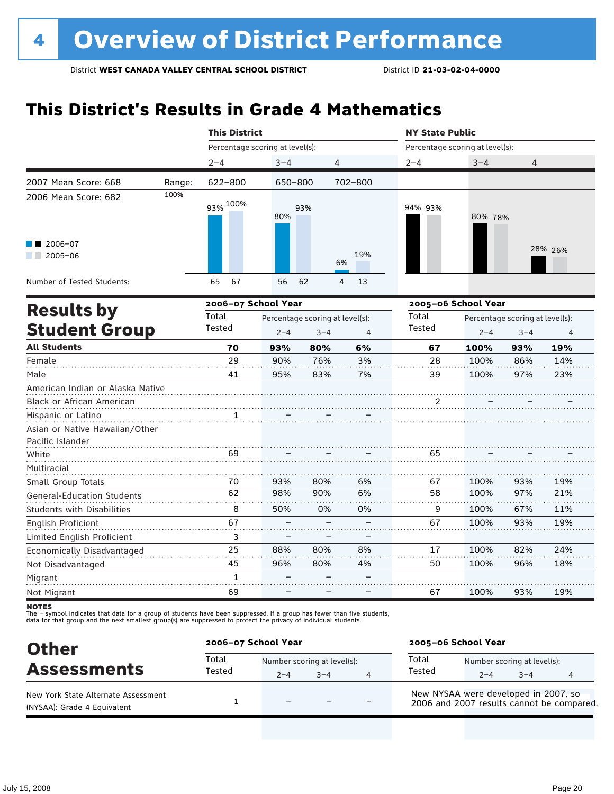### **This District's Results in Grade 4 Mathematics**

|                                              |        | <b>This District</b><br><b>NY State Public</b> |         |                                            |                |                                 |                     |                                            |         |
|----------------------------------------------|--------|------------------------------------------------|---------|--------------------------------------------|----------------|---------------------------------|---------------------|--------------------------------------------|---------|
|                                              |        | Percentage scoring at level(s):                |         |                                            |                | Percentage scoring at level(s): |                     |                                            |         |
|                                              |        | $2 - 4$                                        | $3 - 4$ | 4                                          |                | $2 - 4$                         | $3 - 4$             | 4                                          |         |
| 2007 Mean Score: 668                         | Range: | 622-800                                        | 650-800 |                                            | 702-800        |                                 |                     |                                            |         |
| 2006 Mean Score: 682                         | 100%   | 93% 100%                                       | 80%     | 93%                                        |                | 94% 93%                         | 80% 78%             |                                            |         |
| 2006-07<br>$2005 - 06$<br><b>The Company</b> |        |                                                |         |                                            | 19%<br>6%      |                                 |                     |                                            | 28% 26% |
| Number of Tested Students:                   |        | 65<br>67                                       | 56      | 62                                         | 4<br>13        |                                 |                     |                                            |         |
|                                              |        | 2006-07 School Year                            |         |                                            |                |                                 | 2005-06 School Year |                                            |         |
| <b>Results by</b><br><b>Student Group</b>    |        | Total<br>Tested                                | $2 - 4$ | Percentage scoring at level(s):<br>$3 - 4$ | $\overline{4}$ | Total<br>Tested                 | $2 - 4$             | Percentage scoring at level(s):<br>$3 - 4$ | 4       |
| <b>All Students</b>                          |        | 70                                             | 93%     | 80%                                        | 6%             | 67                              | 100%                | 93%                                        | 19%     |
| Female                                       |        | 29                                             | 90%     | 76%                                        | 3%             | 28                              | 100%                | 86%                                        | 14%     |
| Male                                         |        | 41                                             | 95%     | 83%                                        | 7%             | 39                              | 100%                | 97%                                        | 23%     |
| American Indian or Alaska Native             |        |                                                |         |                                            |                |                                 |                     |                                            |         |
| <b>Black or African American</b>             |        |                                                |         |                                            |                | 2                               |                     |                                            |         |
| Hispanic or Latino                           |        | 1                                              |         |                                            |                |                                 |                     |                                            |         |
| Asian or Native Hawaiian/Other               |        |                                                |         |                                            |                |                                 |                     |                                            |         |
| Pacific Islander                             |        |                                                |         |                                            |                |                                 |                     |                                            |         |
| White                                        |        | 69                                             |         |                                            |                | 65                              |                     |                                            |         |
| Multiracial                                  |        |                                                |         |                                            |                |                                 |                     |                                            |         |
| Small Group Totals                           |        | 70                                             | 93%     | 80%                                        | 6%             | 67                              | 100%                | 93%                                        | 19%     |
| General-Education Students                   |        | 62                                             | 98%     | 90%                                        | 6%             | 58                              | 100%                | 97%                                        | 21%     |
| Students with Disabilities                   |        | 8                                              | 50%     | 0%                                         | 0%             | 9                               | 100%                | 67%                                        | 11%     |
| <b>English Proficient</b>                    |        | 67                                             |         |                                            |                | 67                              | 100%                | 93%                                        | 19%     |
| Limited English Proficient                   |        | 3                                              |         |                                            |                |                                 |                     |                                            |         |
| Economically Disadvantaged                   |        | 25                                             | 88%     | 80%                                        | 8%             | 17                              | 100%                | 82%                                        | 24%     |
| Not Disadvantaged                            |        | 45                                             | 96%     | 80%                                        | 4%             | 50                              | 100%                | 96%                                        | 18%     |
| Migrant                                      |        | $\mathbf{1}$                                   |         |                                            |                |                                 |                     |                                            |         |
| Not Migrant                                  |        | 69                                             |         |                                            |                | 67                              | 100%                | 93%                                        | 19%     |

**NOTES** 

| <b>Other</b>                                                       | 2006-07 School Year |                                        |         |   | 2005-06 School Year                                                               |         |                                        |   |  |
|--------------------------------------------------------------------|---------------------|----------------------------------------|---------|---|-----------------------------------------------------------------------------------|---------|----------------------------------------|---|--|
| <b>Assessments</b>                                                 | Total<br>Tested     | Number scoring at level(s):<br>$2 - 4$ | $3 - 4$ | Δ | Total<br>Tested                                                                   | $2 - 4$ | Number scoring at level(s):<br>$3 - 4$ | 4 |  |
| New York State Alternate Assessment<br>(NYSAA): Grade 4 Equivalent |                     | -                                      |         |   | New NYSAA were developed in 2007, so<br>2006 and 2007 results cannot be compared. |         |                                        |   |  |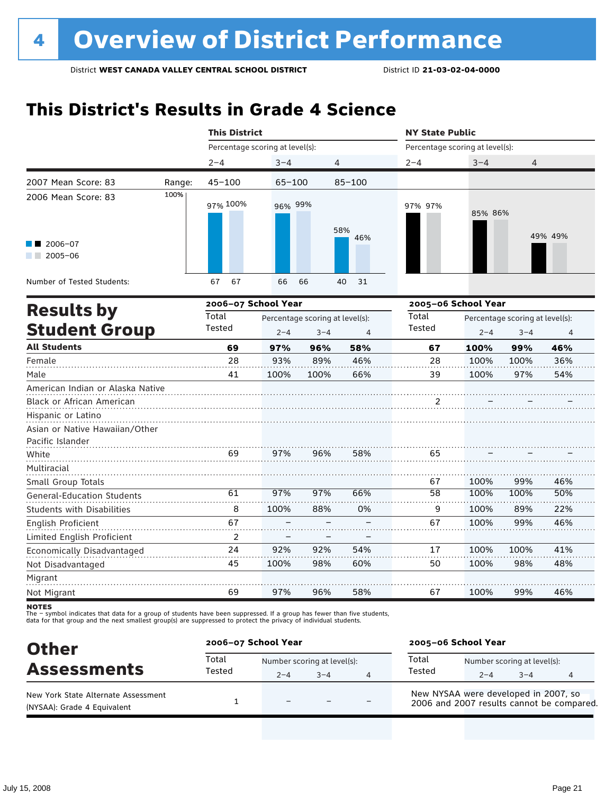### **This District's Results in Grade 4 Science**

|                                                                          |        | <b>This District</b>            |                                                                         |      |                | <b>NY State Public</b>          |                                                            |      |         |
|--------------------------------------------------------------------------|--------|---------------------------------|-------------------------------------------------------------------------|------|----------------|---------------------------------|------------------------------------------------------------|------|---------|
|                                                                          |        | Percentage scoring at level(s): |                                                                         |      |                | Percentage scoring at level(s): |                                                            |      |         |
|                                                                          |        | $2 - 4$                         | $3 - 4$                                                                 |      | $\overline{4}$ | $2 - 4$                         | $3 - 4$                                                    | 4    |         |
| 2007 Mean Score: 83                                                      | Range: | $45 - 100$                      | $65 - 100$                                                              |      | $85 - 100$     |                                 |                                                            |      |         |
| 2006 Mean Score: 83                                                      | 100%   | 97% 100%                        | 96% 99%                                                                 |      | 58%            | 97% 97%                         | 85% 86%                                                    |      |         |
| $\blacksquare$ 2006-07<br>$2005 - 06$<br><b>Contract</b>                 |        |                                 |                                                                         |      | 46%            |                                 |                                                            |      | 49% 49% |
| Number of Tested Students:                                               |        | 67<br>67                        | 66                                                                      | 66   | 40<br>31       |                                 |                                                            |      |         |
|                                                                          |        | 2006-07 School Year             |                                                                         |      |                |                                 | 2005-06 School Year                                        |      |         |
| <b>Results by</b><br><b>Student Group</b>                                |        | Total<br>Tested                 | Percentage scoring at level(s):<br>$2 - 4$<br>$3 - 4$<br>$\overline{4}$ |      |                |                                 | Percentage scoring at level(s):<br>$2 - 4$<br>$3 - 4$<br>4 |      |         |
| <b>All Students</b>                                                      |        | 69                              | 97%                                                                     | 96%  | 58%            | 67                              | 100%                                                       | 99%  | 46%     |
| Female                                                                   |        | 28                              | 93%                                                                     | 89%  | 46%            | 28                              | 100%                                                       | 100% | 36%     |
| Male                                                                     |        | 41                              | 100%                                                                    | 100% | 66%            | 39                              | 100%                                                       | 97%  | 54%     |
| American Indian or Alaska Native                                         |        |                                 |                                                                         |      |                |                                 |                                                            |      |         |
| <b>Black or African American</b>                                         |        |                                 |                                                                         |      |                | 2                               |                                                            |      |         |
| Hispanic or Latino<br>Asian or Native Hawaiian/Other<br>Pacific Islander |        |                                 |                                                                         |      |                |                                 |                                                            |      |         |
| White                                                                    |        | 69                              | 97%                                                                     | 96%  | 58%            | 65                              |                                                            |      |         |
| Multiracial                                                              |        |                                 |                                                                         |      |                |                                 |                                                            |      |         |
| Small Group Totals                                                       |        |                                 |                                                                         |      |                | 67                              | 100%                                                       | 99%  | 46%     |
| <b>General-Education Students</b>                                        |        | 61                              | 97%                                                                     | 97%  | 66%            | 58                              | 100%                                                       | 100% | 50%     |
| <b>Students with Disabilities</b>                                        |        | 8                               | 100%                                                                    | 88%  | 0%             | 9                               | 100%                                                       | 89%  | 22%     |
| English Proficient                                                       |        | 67                              |                                                                         |      |                | 67                              | 100%                                                       | 99%  | 46%     |
| Limited English Proficient                                               |        | $\overline{2}$                  |                                                                         |      |                |                                 |                                                            |      |         |
| Economically Disadvantaged                                               |        | 24                              | 92%                                                                     | 92%  | 54%            | 17                              | 100%                                                       | 100% | 41%     |
| Not Disadvantaged                                                        |        | 45                              | 100%                                                                    | 98%  | 60%            | 50                              | 100%                                                       | 98%  | 48%     |
| Migrant                                                                  |        |                                 |                                                                         |      |                |                                 |                                                            |      |         |
| Not Migrant                                                              |        | 69                              | 97%                                                                     | 96%  | 58%            | 67                              | 100%                                                       | 99%  | 46%     |

**NOTES** 

| <b>Other</b>                                                       | 2006-07 School Year |                                        |      |   | 2005-06 School Year                                                               |         |                                        |   |  |
|--------------------------------------------------------------------|---------------------|----------------------------------------|------|---|-----------------------------------------------------------------------------------|---------|----------------------------------------|---|--|
| <b>Assessments</b>                                                 | Total<br>Tested     | Number scoring at level(s):<br>$2 - 4$ | $-4$ | 4 | Total<br>Tested                                                                   | $2 - 4$ | Number scoring at level(s):<br>$3 - 4$ | 4 |  |
| New York State Alternate Assessment<br>(NYSAA): Grade 4 Equivalent |                     | $\overline{\phantom{0}}$               |      |   | New NYSAA were developed in 2007, so<br>2006 and 2007 results cannot be compared. |         |                                        |   |  |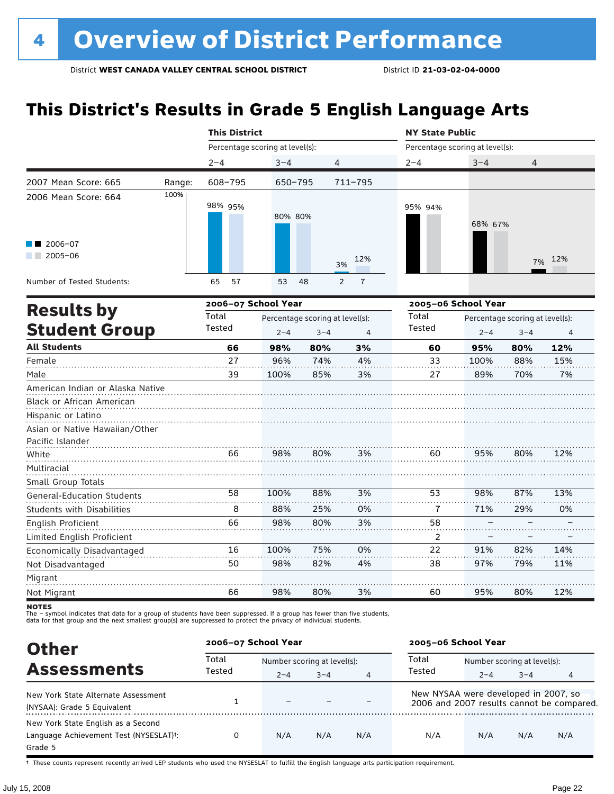# **This District's Results in Grade 5 English Language Arts**

|                                                                                     |        | <b>This District</b>            |             |                                 |                     | <b>NY State Public</b>          |                                 |         |     |
|-------------------------------------------------------------------------------------|--------|---------------------------------|-------------|---------------------------------|---------------------|---------------------------------|---------------------------------|---------|-----|
|                                                                                     |        | Percentage scoring at level(s): |             |                                 |                     | Percentage scoring at level(s): |                                 |         |     |
|                                                                                     |        | $2 - 4$                         | $3 - 4$     |                                 | 4                   | $2 - 4$                         | $3 - 4$                         | 4       |     |
| 2007 Mean Score: 665                                                                | Range: | 608-795                         | $650 - 795$ |                                 | 711-795             |                                 |                                 |         |     |
| 2006 Mean Score: 664                                                                | 100%   | 98% 95%                         | 80% 80%     |                                 |                     | 95% 94%                         | 68% 67%                         |         |     |
| 2006-07<br>$2005 - 06$<br><b>The Company</b>                                        |        |                                 |             |                                 | 12%<br>3%           |                                 |                                 | 7%      | 12% |
| Number of Tested Students:                                                          |        | 57<br>65                        | 53          | 48                              | $\overline{1}$<br>2 |                                 |                                 |         |     |
| <b>Results by</b>                                                                   |        | 2006-07 School Year             |             |                                 |                     | 2005-06 School Year             |                                 |         |     |
|                                                                                     |        | Total                           |             | Percentage scoring at level(s): |                     |                                 | Percentage scoring at level(s): |         |     |
| <b>Student Group</b>                                                                |        | Tested                          | $2 - 4$     | $3 - 4$                         | 4                   | Tested                          | $2 - 4$                         | $3 - 4$ | 4   |
| <b>All Students</b>                                                                 |        | 66                              | 98%         | 80%                             | 3%                  | 60                              | 95%                             | 80%     | 12% |
| Female                                                                              |        | 27                              | 96%         | 74%                             | 4%                  | 33                              | 100%                            | 88%     | 15% |
| Male                                                                                |        | 39                              | 100%        | 85%                             | 3%                  | 27                              | 89%                             | 70%     | 7%  |
| American Indian or Alaska Native<br>Black or African American<br>Hispanic or Latino |        |                                 |             |                                 |                     |                                 |                                 |         |     |
| Asian or Native Hawaiian/Other                                                      |        |                                 |             |                                 |                     |                                 |                                 |         |     |
| Pacific Islander<br>White                                                           |        | 66                              | 98%         | 80%                             | 3%                  | 60                              | 95%                             | 80%     | 12% |
| Multiracial                                                                         |        |                                 |             |                                 |                     |                                 |                                 |         |     |
| Small Group Totals                                                                  |        |                                 |             |                                 |                     |                                 |                                 |         |     |
| <b>General-Education Students</b>                                                   |        | 58                              | 100%        | 88%                             | 3%                  | 53                              | 98%                             | 87%     | 13% |
| <b>Students with Disabilities</b>                                                   |        | 8                               | 88%         | 25%                             | 0%                  | 7                               | 71%                             | 29%     | 0%  |
| <b>English Proficient</b>                                                           |        | 66                              | 98%         | 80%                             | 3%                  | 58                              |                                 |         |     |
| Limited English Proficient                                                          |        |                                 |             |                                 |                     | 2                               |                                 |         |     |
| Economically Disadvantaged                                                          |        | 16                              | 100%        | 75%                             | 0%                  | 22                              | 91%                             | 82%     | 14% |
| Not Disadvantaged                                                                   |        | 50                              | 98%         | 82%                             | 4%                  | 38                              | 97%                             | 79%     | 11% |
| Migrant                                                                             |        |                                 |             |                                 |                     |                                 |                                 |         |     |
| Not Migrant                                                                         |        | 66                              | 98%         | 80%                             | 3%                  | 60                              | 95%                             | 80%     | 12% |

notes

The – symbol indicates that data for a group of students have been suppressed. If a group has fewer than five students,<br>data for that group and the next smallest group(s) are suppressed to protect the privacy of individual

| <b>Other</b>                                        | 2006-07 School Year |                             |         |                | 2005-06 School Year                  |                             |         |                                           |  |
|-----------------------------------------------------|---------------------|-----------------------------|---------|----------------|--------------------------------------|-----------------------------|---------|-------------------------------------------|--|
| <b>Assessments</b>                                  | Total<br>Tested     | Number scoring at level(s): |         |                | Total                                | Number scoring at level(s): |         |                                           |  |
|                                                     |                     | $2 - 4$                     | $3 - 4$ | $\overline{4}$ | Tested                               | $2 - 4$                     | $3 - 4$ | 4                                         |  |
| New York State Alternate Assessment                 |                     |                             |         |                | New NYSAA were developed in 2007, so |                             |         |                                           |  |
| (NYSAA): Grade 5 Equivalent                         |                     |                             |         |                |                                      |                             |         | 2006 and 2007 results cannot be compared. |  |
| New York State English as a Second                  |                     |                             |         |                |                                      |                             |         |                                           |  |
| Language Achievement Test (NYSESLAT) <sup>+</sup> : | 0                   | N/A                         | N/A     | N/A            | N/A                                  | N/A                         | N/A     | N/A                                       |  |
| Grade 5                                             |                     |                             |         |                |                                      |                             |         |                                           |  |

† These counts represent recently arrived LEP students who used the NYSESLAT to fulfill the English language arts participation requirement.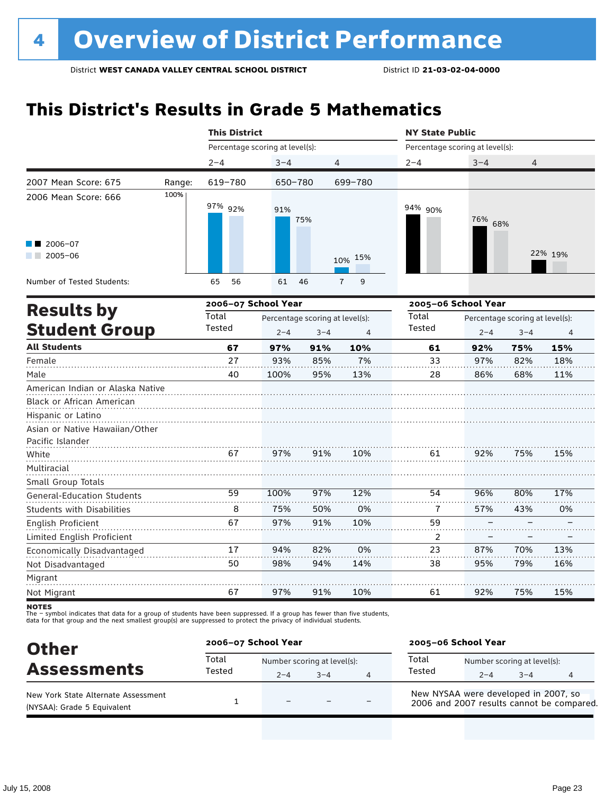### **This District's Results in Grade 5 Mathematics**

|                                                                                      |  | <b>This District</b> |                                 |                                 |                     | <b>NY State Public</b>          |                     |                                 |                |
|--------------------------------------------------------------------------------------|--|----------------------|---------------------------------|---------------------------------|---------------------|---------------------------------|---------------------|---------------------------------|----------------|
| $2 - 4$<br>2007 Mean Score: 675<br>Range:<br>100%<br>2006 Mean Score: 666<br>2006-07 |  |                      | Percentage scoring at level(s): |                                 |                     | Percentage scoring at level(s): |                     |                                 |                |
|                                                                                      |  |                      | $3 - 4$                         |                                 | 4                   | $2 - 4$                         | $3 - 4$             | $\overline{4}$                  |                |
|                                                                                      |  | 619-780              | 650-780                         |                                 | 699-780             |                                 |                     |                                 |                |
|                                                                                      |  | 97% 92%              | 91%                             | 75%                             |                     | 94% 90%                         | 76% 68%             |                                 |                |
| $2005 - 06$                                                                          |  |                      |                                 |                                 | 15%<br>10%          |                                 |                     |                                 | 22% 19%        |
| Number of Tested Students:                                                           |  | 56<br>65             | 61                              | 46                              | 9<br>$\overline{7}$ |                                 |                     |                                 |                |
|                                                                                      |  | 2006-07 School Year  |                                 |                                 |                     |                                 | 2005-06 School Year |                                 |                |
| <b>Results by</b>                                                                    |  | Total                |                                 | Percentage scoring at level(s): |                     |                                 |                     | Percentage scoring at level(s): |                |
| <b>Student Group</b>                                                                 |  | Tested               | $2 - 4$                         | $3 - 4$                         | 4                   | Tested                          | $2 - 4$             | $3 - 4$                         | $\overline{4}$ |
| <b>All Students</b>                                                                  |  | 67                   | 97%                             | 91%                             | 10%                 | 61                              | 92%                 | 75%                             | 15%            |
| Female                                                                               |  | 27                   | 93%                             | 85%                             | 7%                  | 33                              | 97%                 | 82%                             | 18%            |
| Male                                                                                 |  | 40                   | 100%                            | 95%                             | 13%                 | 28                              | 86%                 | 68%                             | 11%            |
| American Indian or Alaska Native<br>Black or African American                        |  |                      |                                 |                                 |                     |                                 |                     |                                 |                |
| Hispanic or Latino                                                                   |  |                      |                                 |                                 |                     |                                 |                     |                                 |                |
| Asian or Native Hawaiian/Other                                                       |  |                      |                                 |                                 |                     |                                 |                     |                                 |                |
| Pacific Islander                                                                     |  |                      |                                 |                                 |                     |                                 |                     |                                 |                |
| White                                                                                |  | 67                   | 97%                             | 91%                             | 10%                 | 61                              | 92%                 | 75%                             | 15%            |
| Multiracial                                                                          |  |                      |                                 |                                 |                     |                                 |                     |                                 |                |
| Small Group Totals                                                                   |  | 59                   | 100%                            | 97%                             | 12%                 | 54                              | 96%                 | 80%                             | 17%            |
| <b>General-Education Students</b>                                                    |  |                      |                                 |                                 |                     |                                 |                     |                                 |                |
| <b>Students with Disabilities</b>                                                    |  | 8                    | 75%                             | 50%                             | 0%                  | 7                               | 57%                 | 43%                             | 0%             |
| English Proficient                                                                   |  | 67                   | 97%                             | 91%                             | 10%                 | 59                              |                     |                                 |                |
| Limited English Proficient                                                           |  |                      |                                 |                                 |                     | 2                               |                     |                                 |                |
| Economically Disadvantaged                                                           |  | 17                   | 94%                             | 82%                             | 0%                  | 23                              | 87%                 | 70%                             | 13%            |
| Not Disadvantaged                                                                    |  | 50                   | 98%                             | 94%                             | 14%                 | 38                              | 95%                 | 79%                             | 16%            |
| Migrant                                                                              |  |                      |                                 |                                 |                     |                                 |                     |                                 |                |
| Not Migrant                                                                          |  | 67                   | 97%                             | 91%                             | 10%                 | 61                              | 92%                 | 75%                             | 15%            |

**NOTES** 

| <b>Other</b>                                                       | 2006-07 School Year |                                        |      |   | 2005-06 School Year                                                               |         |                                        |   |  |
|--------------------------------------------------------------------|---------------------|----------------------------------------|------|---|-----------------------------------------------------------------------------------|---------|----------------------------------------|---|--|
| <b>Assessments</b>                                                 | Total<br>Tested     | Number scoring at level(s):<br>$2 - 4$ | $-4$ | 4 | Total<br>Tested                                                                   | $2 - 4$ | Number scoring at level(s):<br>$3 - 4$ | 4 |  |
| New York State Alternate Assessment<br>(NYSAA): Grade 5 Equivalent |                     | $\overline{\phantom{0}}$               |      |   | New NYSAA were developed in 2007, so<br>2006 and 2007 results cannot be compared. |         |                                        |   |  |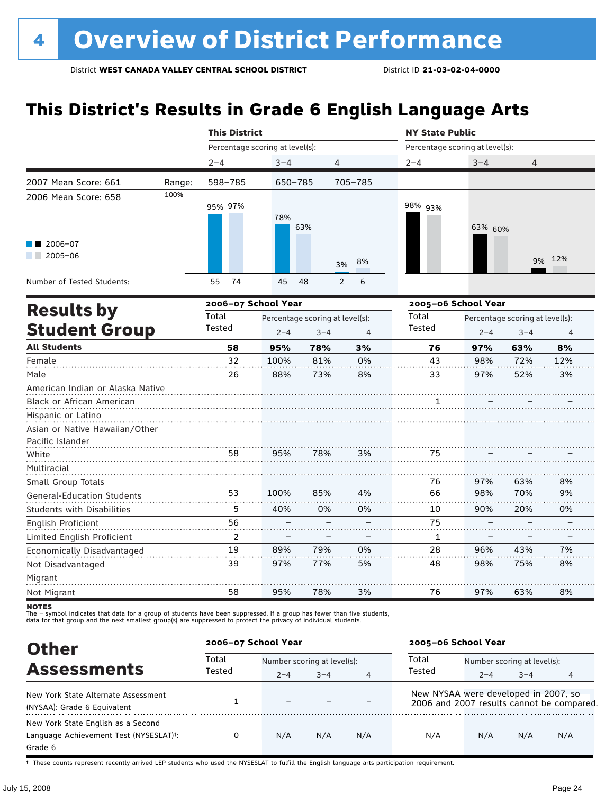# **This District's Results in Grade 6 English Language Arts**

|                                                  |        | <b>This District</b>            |                                 |         |                     | <b>NY State Public</b>          |         |                                 |        |
|--------------------------------------------------|--------|---------------------------------|---------------------------------|---------|---------------------|---------------------------------|---------|---------------------------------|--------|
|                                                  |        | Percentage scoring at level(s): |                                 |         |                     | Percentage scoring at level(s): |         |                                 |        |
|                                                  |        | $2 - 4$                         | $3 - 4$                         | 4       |                     | $2 - 4$                         | $3 - 4$ | 4                               |        |
| 2007 Mean Score: 661                             | Range: | 598-785                         | 650-785                         |         | 705-785             |                                 |         |                                 |        |
| 2006 Mean Score: 658                             | 100%   | 95% 97%                         | 78%                             | 63%     |                     | 98% 93%                         | 63% 60% |                                 |        |
| $\blacksquare$ 2006-07<br>$\blacksquare$ 2005-06 |        |                                 |                                 |         | 8%<br>3%            |                                 |         |                                 | 9% 12% |
| Number of Tested Students:                       |        | 74<br>55                        | 45                              | 48      | 6<br>$\overline{2}$ |                                 |         |                                 |        |
|                                                  |        | 2006-07 School Year             |                                 |         |                     | 2005-06 School Year             |         |                                 |        |
| <b>Results by</b>                                |        | Total                           | Percentage scoring at level(s): |         |                     | Total                           |         | Percentage scoring at level(s): |        |
| <b>Student Group</b>                             |        | Tested                          | $2 - 4$                         | $3 - 4$ | 4                   | Tested                          | $2 - 4$ | $3 - 4$                         | 4      |
| <b>All Students</b>                              |        | 58                              | 95%                             | 78%     | 3%                  | 76                              | 97%     | 63%                             | 8%     |
| Female                                           |        | 32                              | 100%                            | 81%     | 0%                  | 43                              | 98%     | 72%                             | 12%    |
| Male                                             |        | 26                              | 88%                             | 73%     | 8%                  | 33                              | 97%     | 52%                             | 3%     |
| American Indian or Alaska Native                 |        |                                 |                                 |         |                     |                                 |         |                                 |        |
| Black or African American                        |        |                                 |                                 |         |                     | 1                               |         |                                 |        |
| Hispanic or Latino                               |        |                                 |                                 |         |                     |                                 |         |                                 |        |
| Asian or Native Hawaiian/Other                   |        |                                 |                                 |         |                     |                                 |         |                                 |        |
| Pacific Islander                                 |        |                                 |                                 |         |                     |                                 |         |                                 |        |
| White                                            |        | 58                              | 95%                             | 78%     | 3%                  | 75                              |         |                                 |        |
| Multiracial                                      |        |                                 |                                 |         |                     |                                 |         |                                 |        |
| Small Group Totals                               |        |                                 |                                 |         |                     | 76                              | 97%     | 63%                             | 8%     |
| <b>General-Education Students</b>                |        | 53                              | 100%                            | 85%     | 4%                  | 66                              | 98%     | 70%                             | 9%     |
| <b>Students with Disabilities</b>                |        | 5                               | 40%                             | 0%      | 0%                  | 10                              | 90%     | 20%                             | 0%     |
| English Proficient                               |        | 56                              |                                 |         |                     | 75                              |         |                                 |        |
| Limited English Proficient                       |        | 2                               |                                 |         |                     | 1                               |         |                                 |        |
| Economically Disadvantaged                       |        | 19                              | 89%                             | 79%     | 0%                  | 28                              | 96%     | 43%                             | 7%     |
| Not Disadvantaged                                |        | 39                              | 97%                             | 77%     | 5%                  | 48                              | 98%     | 75%                             | 8%     |
| Migrant                                          |        |                                 |                                 |         |                     |                                 |         |                                 |        |
| Not Migrant                                      |        | 58                              | 95%                             | 78%     | 3%                  | 76                              | 97%     | 63%                             | 8%     |

**NOTES** 

The – symbol indicates that data for a group of students have been suppressed. If a group has fewer than five students,<br>data for that group and the next smallest group(s) are suppressed to protect the privacy of individual

| <b>Other</b>                                        | 2006-07 School Year |                             |         |     | 2005-06 School Year                  |                             |         |                                           |  |
|-----------------------------------------------------|---------------------|-----------------------------|---------|-----|--------------------------------------|-----------------------------|---------|-------------------------------------------|--|
| <b>Assessments</b>                                  | Total<br>Tested     | Number scoring at level(s): |         |     | Total                                | Number scoring at level(s): |         |                                           |  |
|                                                     |                     | $2 - 4$                     | $3 - 4$ | 4   | Tested                               | $2 - 4$                     | $3 - 4$ | 4                                         |  |
| New York State Alternate Assessment                 |                     |                             |         |     | New NYSAA were developed in 2007, so |                             |         |                                           |  |
| (NYSAA): Grade 6 Equivalent                         |                     |                             |         |     |                                      |                             |         | 2006 and 2007 results cannot be compared. |  |
| New York State English as a Second                  |                     |                             |         |     |                                      |                             |         |                                           |  |
| Language Achievement Test (NYSESLAT) <sup>+</sup> : |                     | N/A                         | N/A     | N/A | N/A                                  | N/A                         | N/A     | N/A                                       |  |
| Grade 6                                             |                     |                             |         |     |                                      |                             |         |                                           |  |

† These counts represent recently arrived LEP students who used the NYSESLAT to fulfill the English language arts participation requirement.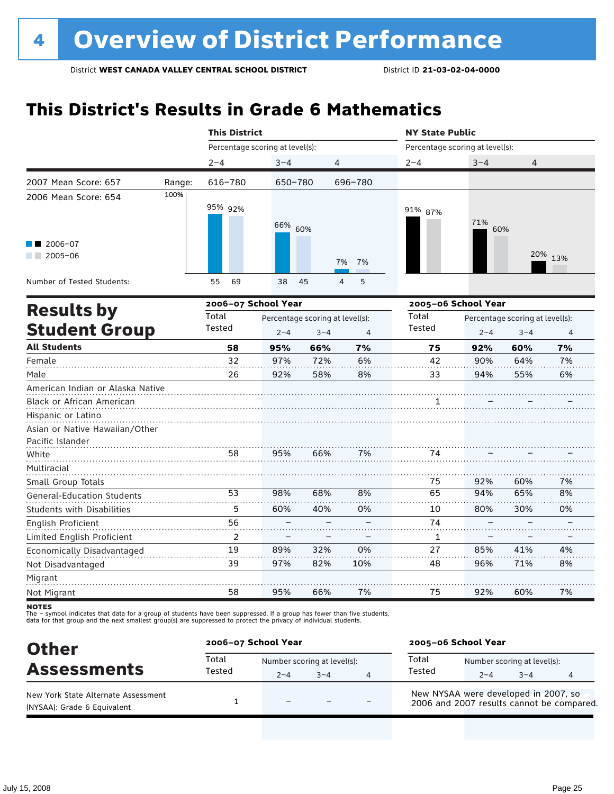### **This District's Results in Grade 6 Mathematics**

|                                   |        | <b>This District</b>            |         |                                 |                     | <b>NY State Public</b>          |     |                                                                                                                                                       |                |  |
|-----------------------------------|--------|---------------------------------|---------|---------------------------------|---------------------|---------------------------------|-----|-------------------------------------------------------------------------------------------------------------------------------------------------------|----------------|--|
|                                   |        | Percentage scoring at level(s): |         |                                 |                     | Percentage scoring at level(s): |     | $3 - 4$<br>$\overline{4}$<br>71%<br>60%<br>20% 13%<br>Percentage scoring at level(s):<br>$2 - 4$<br>$3 - 4$<br>92%<br>60%<br>90%<br>64%<br>94%<br>55% |                |  |
|                                   |        | $2 - 4$                         | $3 - 4$ | 4                               |                     | $2 - 4$                         |     |                                                                                                                                                       |                |  |
| 2007 Mean Score: 657              | Range: | 616-780                         | 650-780 |                                 | 696-780             |                                 |     |                                                                                                                                                       |                |  |
| 2006 Mean Score: 654              | 100%   | 95% 92%                         | 66% 60% |                                 |                     | 91% 87%                         |     |                                                                                                                                                       |                |  |
| 2006-07<br>$2005 - 06$            |        |                                 |         |                                 | 7%<br>7%            |                                 |     |                                                                                                                                                       |                |  |
| Number of Tested Students:        |        | 55<br>69                        | 38      | 45                              | 5<br>$\overline{4}$ |                                 |     |                                                                                                                                                       |                |  |
|                                   |        | 2006-07 School Year             |         |                                 |                     | 2005-06 School Year             |     |                                                                                                                                                       |                |  |
| <b>Results by</b>                 |        | Total                           |         | Percentage scoring at level(s): |                     | Total                           |     |                                                                                                                                                       |                |  |
| <b>Student Group</b>              |        | Tested                          | $2 - 4$ | $3 - 4$                         | $\overline{4}$      | Tested                          |     |                                                                                                                                                       | $\overline{4}$ |  |
| <b>All Students</b>               |        | 58                              | 95%     | 66%                             | 7%                  | 75                              |     |                                                                                                                                                       | 7%             |  |
| Female                            |        | 32                              | 97%     | 72%                             | 6%                  | 42                              |     |                                                                                                                                                       | 7%             |  |
| Male                              |        | 26                              | 92%     | 58%                             | 8%                  | 33                              |     |                                                                                                                                                       | 6%             |  |
| American Indian or Alaska Native  |        |                                 |         |                                 |                     |                                 |     |                                                                                                                                                       |                |  |
| <b>Black or African American</b>  |        |                                 |         |                                 |                     | 1                               |     |                                                                                                                                                       |                |  |
| Hispanic or Latino                |        |                                 |         |                                 |                     |                                 |     |                                                                                                                                                       |                |  |
| Asian or Native Hawaiian/Other    |        |                                 |         |                                 |                     |                                 |     |                                                                                                                                                       |                |  |
| Pacific Islander                  |        |                                 |         |                                 |                     |                                 |     |                                                                                                                                                       |                |  |
| White                             |        | 58                              | 95%     | 66%                             | 7%                  | 74                              |     |                                                                                                                                                       |                |  |
| Multiracial                       |        |                                 |         |                                 |                     |                                 |     |                                                                                                                                                       |                |  |
| Small Group Totals                |        |                                 |         |                                 |                     | 75                              | 92% | 60%                                                                                                                                                   | 7%             |  |
| <b>General-Education Students</b> |        | 53                              | 98%     | 68%                             | 8%                  | 65                              | 94% | 65%                                                                                                                                                   | 8%             |  |
| <b>Students with Disabilities</b> |        | 5                               | 60%     | 40%                             | 0%                  | 10                              | 80% | 30%                                                                                                                                                   | 0%             |  |
| <b>English Proficient</b>         |        | 56                              |         |                                 |                     | 74                              |     |                                                                                                                                                       |                |  |
| Limited English Proficient        |        | 2                               |         |                                 |                     | 1                               |     |                                                                                                                                                       |                |  |
| Economically Disadvantaged        |        | 19                              | 89%     | 32%                             | 0%                  | 27                              | 85% | 41%                                                                                                                                                   | 4%             |  |
| Not Disadvantaged                 |        | 39                              | 97%     | 82%                             | 10%                 | 48                              | 96% | 71%                                                                                                                                                   | 8%             |  |
| Migrant                           |        |                                 |         |                                 |                     |                                 |     |                                                                                                                                                       |                |  |
| Not Migrant                       |        | 58                              | 95%     | 66%                             | 7%                  | 75                              | 92% | 60%                                                                                                                                                   | 7%             |  |

**NOTES** 

| <b>Other</b>                                                       | 2006-07 School Year |                                        |      |   | 2005-06 School Year                                                               |         |                                        |   |
|--------------------------------------------------------------------|---------------------|----------------------------------------|------|---|-----------------------------------------------------------------------------------|---------|----------------------------------------|---|
| <b>Assessments</b>                                                 | Total<br>Tested     | Number scoring at level(s):<br>$2 - 4$ | $-4$ | 4 | Total<br>Tested                                                                   | $2 - 4$ | Number scoring at level(s):<br>$3 - 4$ | 4 |
| New York State Alternate Assessment<br>(NYSAA): Grade 6 Equivalent |                     | $\equiv$                               |      |   | New NYSAA were developed in 2007, so<br>2006 and 2007 results cannot be compared. |         |                                        |   |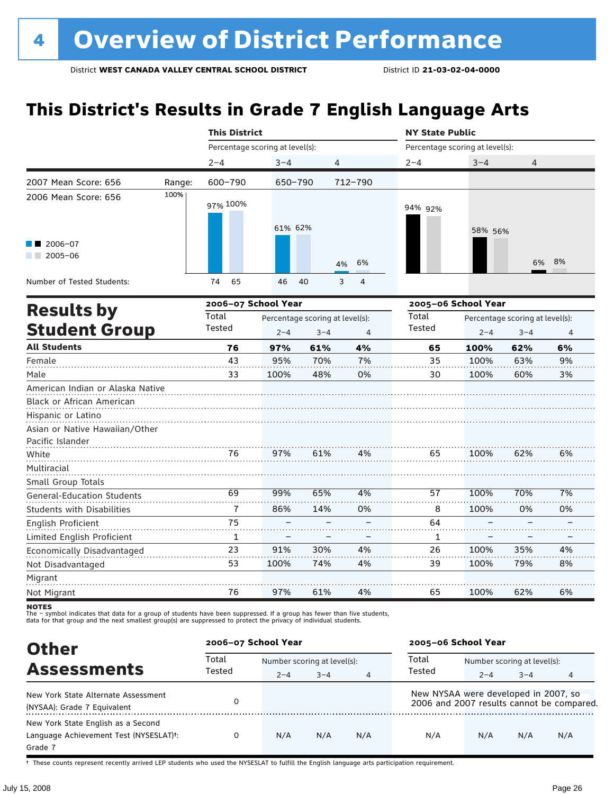# **This District's Results in Grade 7 English Language Arts**

|                                   |        | <b>This District</b>            |                                 |         |                     | <b>NY State Public</b> |                                 |                                 |    |  |
|-----------------------------------|--------|---------------------------------|---------------------------------|---------|---------------------|------------------------|---------------------------------|---------------------------------|----|--|
|                                   |        | Percentage scoring at level(s): |                                 |         |                     |                        | Percentage scoring at level(s): |                                 |    |  |
|                                   |        | $2 - 4$                         | $3 - 4$                         |         | 4                   | $2 - 4$                | $3 - 4$                         | 4                               |    |  |
| 2007 Mean Score: 656              | Range: | 600-790                         | 650-790                         |         | 712-790             |                        |                                 |                                 |    |  |
| 2006 Mean Score: 656              | 100%   | 97% 100%                        | 61% 62%                         |         |                     | 94% 92%                | 58% 56%                         |                                 |    |  |
| $2006 - 07$<br>2005-06            |        |                                 |                                 |         | 6%<br>4%            |                        |                                 | 6%                              | 8% |  |
| Number of Tested Students:        |        | 74<br>65                        | 46                              | 40      | 3<br>$\overline{4}$ |                        |                                 |                                 |    |  |
| <b>Results by</b>                 |        | 2006-07 School Year             |                                 |         |                     |                        | 2005-06 School Year             |                                 |    |  |
|                                   |        | Total                           | Percentage scoring at level(s): |         |                     | Total                  |                                 | Percentage scoring at level(s): |    |  |
| <b>Student Group</b>              |        | Tested                          | $2 - 4$                         | $3 - 4$ | $\overline{4}$      | <b>Tested</b>          | $2 - 4$                         | $3 - 4$                         | 4  |  |
| <b>All Students</b>               |        | 76                              | 97%                             | 61%     | 4%                  | 65                     | 100%                            | 62%                             | 6% |  |
| Female                            |        | 43                              | 95%                             | 70%     | 7%                  | 35                     | 100%                            | 63%                             | 9% |  |
| Male                              |        | 33                              | 100%                            | 48%     | 0%                  | 30                     | 100%                            | 60%                             | 3% |  |
| American Indian or Alaska Native  |        |                                 |                                 |         |                     |                        |                                 |                                 |    |  |
| Black or African American         |        |                                 |                                 |         |                     |                        |                                 |                                 |    |  |
| Hispanic or Latino                |        |                                 |                                 |         |                     |                        |                                 |                                 |    |  |
| Asian or Native Hawaiian/Other    |        |                                 |                                 |         |                     |                        |                                 |                                 |    |  |
| Pacific Islander                  |        |                                 |                                 |         |                     |                        |                                 |                                 |    |  |
| White                             |        | 76                              | 97%                             | 61%     | 4%                  | 65                     | 100%                            | 62%                             | 6% |  |
| Multiracial                       |        |                                 |                                 |         |                     |                        |                                 |                                 |    |  |
| Small Group Totals                |        |                                 |                                 |         |                     |                        |                                 |                                 |    |  |
| <b>General-Education Students</b> |        | 69                              | 99%                             | 65%     | 4%                  | 57                     | 100%                            | 70%                             | 7% |  |
| Students with Disabilities        |        | 7                               | 86%                             | 14%     | 0%                  | 8                      | 100%                            | 0%                              | 0% |  |
| English Proficient                |        | 75                              |                                 |         |                     | 64                     |                                 |                                 |    |  |
| Limited English Proficient        |        | 1                               |                                 |         |                     | 1                      |                                 |                                 |    |  |
| Economically Disadvantaged        |        | 23                              | 91%                             | 30%     | 4%                  | 26                     | 100%                            | 35%                             | 4% |  |
| Not Disadvantaged                 |        | 53                              | 100%                            | 74%     | 4%                  | 39                     | 100%                            | 79%                             | 8% |  |
| Migrant                           |        |                                 |                                 |         |                     |                        |                                 |                                 |    |  |
| Not Migrant                       |        | 76                              | 97%                             | 61%     | 4%                  | 65                     | 100%                            | 62%                             | 6% |  |

notes

The – symbol indicates that data for a group of students have been suppressed. If a group has fewer than five students,<br>data for that group and the next smallest group(s) are suppressed to protect the privacy of individual

| <b>Other</b>                                                                                         | 2006-07 School Year |                             |         |     | 2005-06 School Year                  |                             |         |                                           |  |
|------------------------------------------------------------------------------------------------------|---------------------|-----------------------------|---------|-----|--------------------------------------|-----------------------------|---------|-------------------------------------------|--|
|                                                                                                      | Total               | Number scoring at level(s): |         |     | Total                                | Number scoring at level(s): |         |                                           |  |
| <b>Assessments</b>                                                                                   | Tested              | $2 - 4$                     | $3 - 4$ | 4   | Tested                               | $2 - 4$                     | $3 - 4$ | 4                                         |  |
| New York State Alternate Assessment<br>(NYSAA): Grade 7 Equivalent                                   |                     |                             |         |     | New NYSAA were developed in 2007, so |                             |         | 2006 and 2007 results cannot be compared. |  |
| New York State English as a Second<br>Language Achievement Test (NYSESLAT) <sup>+</sup> :<br>Grade 7 |                     | N/A                         | N/A     | N/A | N/A                                  | N/A                         | N/A     | N/A                                       |  |

† These counts represent recently arrived LEP students who used the NYSESLAT to fulfill the English language arts participation requirement.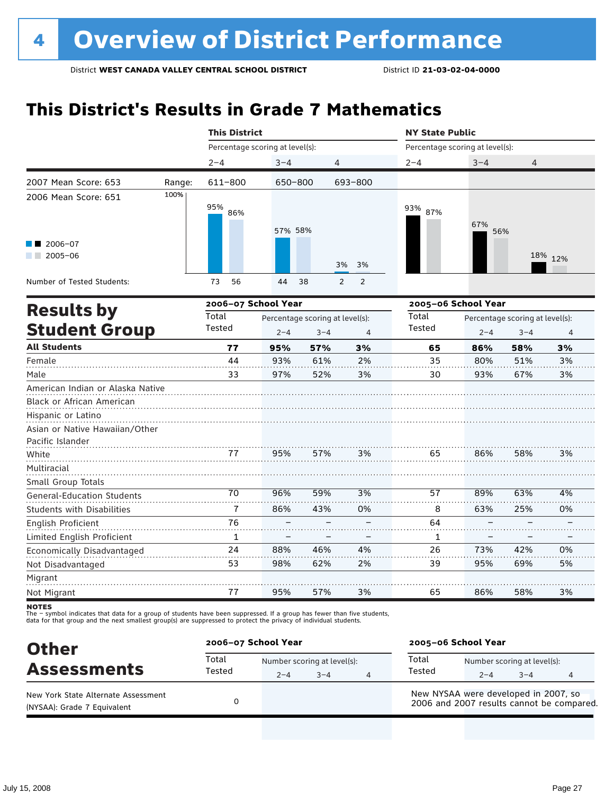### **This District's Results in Grade 7 Mathematics**

|                                                                                                                       |        | <b>This District</b>            |         |                                            |                                  | <b>NY State Public</b>          |                     |                                            |         |
|-----------------------------------------------------------------------------------------------------------------------|--------|---------------------------------|---------|--------------------------------------------|----------------------------------|---------------------------------|---------------------|--------------------------------------------|---------|
|                                                                                                                       |        | Percentage scoring at level(s): |         |                                            |                                  | Percentage scoring at level(s): |                     |                                            |         |
|                                                                                                                       |        | $2 - 4$                         | $3 - 4$ | 4                                          |                                  | $2 - 4$                         | $3 - 4$             | 4                                          |         |
| 2007 Mean Score: 653                                                                                                  | Range: | 611-800                         | 650-800 |                                            | 693-800                          |                                 |                     |                                            |         |
| 2006 Mean Score: 651                                                                                                  | 100%   | 95%<br>86%                      | 57% 58% |                                            |                                  | 93% 87%                         | 67%<br>56%          |                                            |         |
| $2006 - 07$<br>$2005 - 06$                                                                                            |        |                                 |         |                                            | 3%<br>3%                         |                                 |                     |                                            | 18% 12% |
| Number of Tested Students:                                                                                            |        | 73<br>56                        | 44      | 38                                         | $\overline{2}$<br>$\overline{2}$ |                                 |                     |                                            |         |
|                                                                                                                       |        | 2006-07 School Year             |         |                                            |                                  |                                 | 2005-06 School Year |                                            |         |
| <b>Results by</b><br><b>Student Group</b>                                                                             |        | Total<br>Tested                 | $2 - 4$ | Percentage scoring at level(s):<br>$3 - 4$ | 4                                | Total<br><b>Tested</b>          | $2 - 4$             | Percentage scoring at level(s):<br>$3 - 4$ | 4       |
| <b>All Students</b>                                                                                                   |        | 77                              | 95%     | 57%                                        | 3%                               | 65                              | 86%                 | 58%                                        | 3%      |
| Female                                                                                                                |        | 44                              | 93%     | 61%                                        | 2%                               | 35                              | 80%                 | 51%                                        | 3%      |
| Male                                                                                                                  |        | 33                              | 97%     | 52%                                        | 3%                               | 30                              | 93%                 | 67%                                        | 3%      |
| American Indian or Alaska Native<br>Black or African American<br>Hispanic or Latino<br>Asian or Native Hawaiian/Other |        |                                 |         |                                            |                                  |                                 |                     |                                            |         |
| Pacific Islander<br>White                                                                                             |        | 77                              | 95%     | 57%                                        | 3%                               | 65                              | 86%                 | 58%                                        | 3%      |
| Multiracial<br>Small Group Totals                                                                                     |        |                                 |         |                                            |                                  |                                 |                     |                                            |         |
| <b>General-Education Students</b>                                                                                     |        | 70                              | 96%     | 59%                                        | 3%                               | 57                              | 89%                 | 63%                                        | 4%      |
| Students with Disabilities                                                                                            |        | 7                               | 86%     | 43%                                        | 0%                               | 8                               | 63%                 | 25%                                        | 0%      |
| English Proficient                                                                                                    |        | 76                              |         |                                            |                                  | 64                              |                     |                                            |         |
| Limited English Proficient                                                                                            |        | $\mathbf{1}$                    |         |                                            |                                  | 1                               |                     |                                            |         |
| Economically Disadvantaged                                                                                            |        | 24                              | 88%     | 46%                                        | 4%                               | 26                              | 73%                 | 42%                                        | 0%      |
| Not Disadvantaged                                                                                                     |        | 53                              | 98%     | 62%                                        | 2%                               | 39                              | 95%                 | 69%                                        | 5%      |
| Migrant<br>Not Migrant                                                                                                |        | 77                              | 95%     | 57%                                        | 3%                               | 65                              | 86%                 | 58%                                        | 3%      |

**NOTES** 

| <b>Other</b>                                                       | 2006-07 School Year |         |                                        |   | 2005-06 School Year |                                      |                                        |                                           |  |
|--------------------------------------------------------------------|---------------------|---------|----------------------------------------|---|---------------------|--------------------------------------|----------------------------------------|-------------------------------------------|--|
| <b>Assessments</b>                                                 | Total<br>Tested     | $2 - 4$ | Number scoring at level(s):<br>$3 - 4$ | 4 | Total<br>Tested     | $2 - 4$                              | Number scoring at level(s):<br>$3 - 4$ | 4                                         |  |
| New York State Alternate Assessment<br>(NYSAA): Grade 7 Equivalent |                     |         |                                        |   |                     | New NYSAA were developed in 2007, so |                                        | 2006 and 2007 results cannot be compared. |  |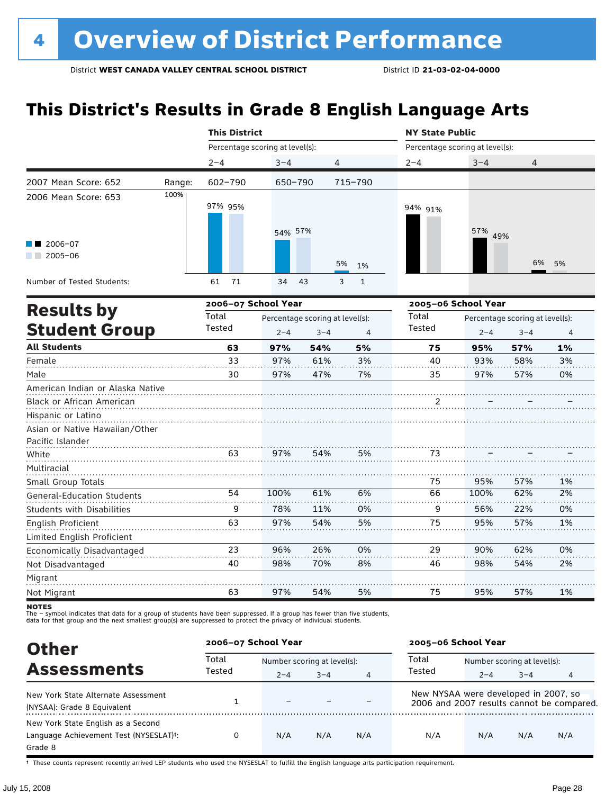# **This District's Results in Grade 8 English Language Arts**

|                                           |        | <b>This District</b>            |                                 |         |              | <b>NY State Public</b> |                     | Percentage scoring at level(s):<br>$3 - 4$<br>4<br>57%<br>49% |                |  |
|-------------------------------------------|--------|---------------------------------|---------------------------------|---------|--------------|------------------------|---------------------|---------------------------------------------------------------|----------------|--|
|                                           |        | Percentage scoring at level(s): |                                 |         |              |                        |                     |                                                               |                |  |
|                                           |        | $2 - 4$                         | $3 - 4$                         | 4       |              | $2 - 4$                |                     |                                                               |                |  |
| 2007 Mean Score: 652                      | Range: | 602-790                         | 650-790                         |         | 715-790      |                        |                     |                                                               |                |  |
| 2006 Mean Score: 653                      | 100%   | 97% 95%                         | 54% 57%                         |         |              | 94% 91%                |                     |                                                               |                |  |
| 2006-07<br>$\sqrt{2005-06}$               |        |                                 |                                 | 5%      | 1%           |                        |                     | 6%                                                            | 5%             |  |
| Number of Tested Students:                |        | 71<br>61                        | 34                              | 43<br>3 | $\mathbf{1}$ |                        |                     |                                                               |                |  |
|                                           |        | 2006-07 School Year             |                                 |         |              |                        | 2005-06 School Year |                                                               |                |  |
| <b>Results by</b><br><b>Student Group</b> |        | Total                           | Percentage scoring at level(s): |         |              | Total                  |                     | Percentage scoring at level(s):                               |                |  |
|                                           |        | Tested                          | $2 - 4$                         | $3 - 4$ | 4            | Tested                 | $2 - 4$             | $3 - 4$                                                       | $\overline{4}$ |  |
| <b>All Students</b>                       |        | 63                              | 97%                             | 54%     | 5%           | 75                     | 95%                 | 57%                                                           | 1%             |  |
| Female                                    |        | 33                              | 97%                             | 61%     | 3%           | 40                     | 93%                 | 58%                                                           | 3%             |  |
| Male                                      |        | 30                              | 97%                             | 47%     | 7%           | 35                     | 97%                 | 57%                                                           | 0%             |  |
| American Indian or Alaska Native          |        |                                 |                                 |         |              |                        |                     |                                                               |                |  |
| Black or African American                 |        |                                 |                                 |         |              | 2                      |                     |                                                               |                |  |
| Hispanic or Latino                        |        |                                 |                                 |         |              |                        |                     |                                                               |                |  |
| Asian or Native Hawaiian/Other            |        |                                 |                                 |         |              |                        |                     |                                                               |                |  |
| Pacific Islander                          |        |                                 |                                 |         |              |                        |                     |                                                               |                |  |
| White                                     |        | 63                              | 97%                             | 54%     | 5%           | 73                     |                     |                                                               |                |  |
| Multiracial                               |        |                                 |                                 |         |              |                        |                     |                                                               |                |  |
| Small Group Totals                        |        |                                 |                                 |         |              | 75                     | 95%                 | 57%                                                           | 1%             |  |
| General-Education Students                |        | 54                              | 100%                            | 61%     | 6%           | 66                     | 100%                | 62%                                                           | 2%             |  |
| <b>Students with Disabilities</b>         |        | 9                               | 78%                             | 11%     | 0%           | 9                      | 56%                 | 22%                                                           | 0%             |  |
| English Proficient                        |        | 63                              | 97%                             | 54%     | 5%           | 75                     | 95%                 | 57%                                                           | 1%             |  |
| Limited English Proficient                |        |                                 |                                 |         |              |                        |                     |                                                               |                |  |
| Economically Disadvantaged                |        | 23                              | 96%                             | 26%     | 0%           | 29                     | 90%                 | 62%                                                           | 0%             |  |
| Not Disadvantaged                         |        | 40                              | 98%                             | 70%     | 8%           | 46                     | 98%                 | 54%                                                           | 2%             |  |
| Migrant                                   |        |                                 |                                 |         |              |                        |                     |                                                               |                |  |
| Not Migrant                               |        | 63                              | 97%                             | 54%     | 5%           | 75                     | 95%                 | 57%                                                           | 1%             |  |

**NOTES** 

The – symbol indicates that data for a group of students have been suppressed. If a group has fewer than five students,<br>data for that group and the next smallest group(s) are suppressed to protect the privacy of individual

| <b>Other</b>                           | 2006-07 School Year |                             |         |                | 2005-06 School Year                  |                             |         |                                           |  |
|----------------------------------------|---------------------|-----------------------------|---------|----------------|--------------------------------------|-----------------------------|---------|-------------------------------------------|--|
| <b>Assessments</b>                     | Total<br>Tested     | Number scoring at level(s): |         |                | Total                                | Number scoring at level(s): |         |                                           |  |
|                                        |                     | $2 - 4$                     | $3 - 4$ | $\overline{4}$ | Tested                               | $2 - 4$                     | $3 - 4$ | 4                                         |  |
| New York State Alternate Assessment    |                     |                             |         |                | New NYSAA were developed in 2007, so |                             |         |                                           |  |
| (NYSAA): Grade 8 Equivalent            |                     |                             |         |                |                                      |                             |         | 2006 and 2007 results cannot be compared. |  |
| New York State English as a Second     |                     |                             |         |                |                                      |                             |         |                                           |  |
| Language Achievement Test (NYSESLAT)t: | 0                   | N/A                         | N/A     | N/A            | N/A                                  | N/A                         | N/A     | N/A                                       |  |
| Grade 8                                |                     |                             |         |                |                                      |                             |         |                                           |  |

† These counts represent recently arrived LEP students who used the NYSESLAT to fulfill the English language arts participation requirement.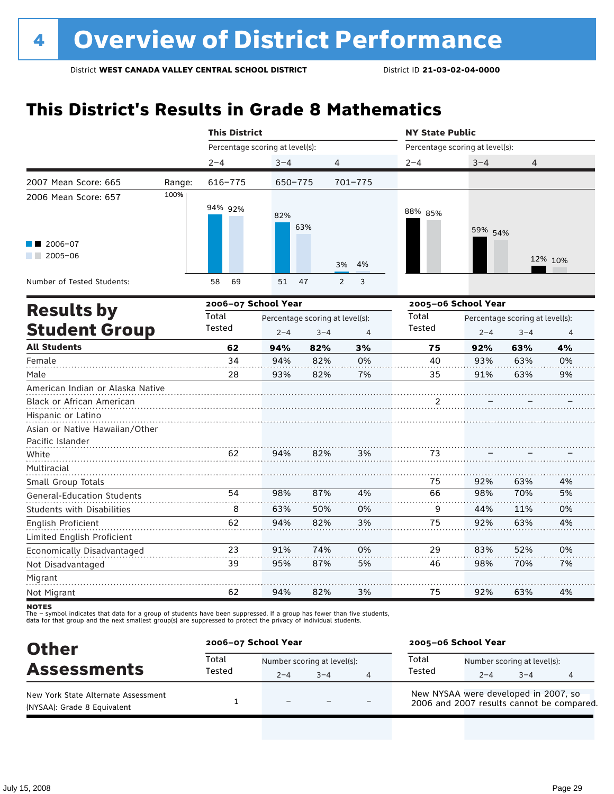### **This District's Results in Grade 8 Mathematics**

|                                           |        | <b>This District</b>            |         |                                            |                | <b>NY State Public</b> |                                                                         |                                            |                |  |
|-------------------------------------------|--------|---------------------------------|---------|--------------------------------------------|----------------|------------------------|-------------------------------------------------------------------------|--------------------------------------------|----------------|--|
|                                           |        | Percentage scoring at level(s): |         |                                            |                |                        | Percentage scoring at level(s):<br>$3 - 4$<br>$\overline{4}$<br>59% 54% |                                            |                |  |
|                                           |        | $2 - 4$                         | $3 - 4$ | 4                                          |                | $2 - 4$                |                                                                         |                                            |                |  |
| 2007 Mean Score: 665                      | Range: | $616 - 775$                     | 650-775 |                                            | $701 - 775$    |                        |                                                                         |                                            |                |  |
| 2006 Mean Score: 657                      | 100%   | 94% 92%                         | 82%     | 63%                                        |                | 88% 85%                |                                                                         |                                            |                |  |
| 2006-07<br>$2005 - 06$<br>a sa ta         |        |                                 |         |                                            | 4%<br>3%       |                        |                                                                         |                                            | 12% 10%        |  |
| Number of Tested Students:                |        | 69<br>58                        | 51      | 47                                         | 3<br>2         |                        |                                                                         |                                            |                |  |
|                                           |        | 2006-07 School Year             |         |                                            |                | 2005-06 School Year    |                                                                         |                                            |                |  |
| <b>Results by</b><br><b>Student Group</b> |        | Total<br>Tested                 | $2 - 4$ | Percentage scoring at level(s):<br>$3 - 4$ | $\overline{4}$ | Total<br>Tested        | $2 - 4$                                                                 | Percentage scoring at level(s):<br>$3 - 4$ | $\overline{4}$ |  |
| <b>All Students</b>                       |        | 62                              | 94%     | 82%                                        | 3%             | 75                     | 92%                                                                     | 63%                                        | 4%             |  |
| Female                                    |        | 34                              | 94%     | 82%                                        | 0%             | 40                     | 93%                                                                     | 63%                                        | 0%             |  |
| Male                                      |        | 28                              | 93%     | 82%                                        | 7%             | 35                     | 91%                                                                     | 63%                                        | 9%             |  |
| American Indian or Alaska Native          |        |                                 |         |                                            |                |                        |                                                                         |                                            |                |  |
| <b>Black or African American</b>          |        |                                 |         |                                            |                | 2                      |                                                                         |                                            |                |  |
| Hispanic or Latino                        |        |                                 |         |                                            |                |                        |                                                                         |                                            |                |  |
| Asian or Native Hawaiian/Other            |        |                                 |         |                                            |                |                        |                                                                         |                                            |                |  |
| Pacific Islander                          |        |                                 |         |                                            |                |                        |                                                                         |                                            |                |  |
| White                                     |        | 62                              | 94%     | 82%                                        | 3%             | 73                     |                                                                         |                                            |                |  |
| Multiracial<br>Small Group Totals         |        |                                 |         |                                            |                | 75                     | 92%                                                                     | 63%                                        | 4%             |  |
| <b>General-Education Students</b>         |        | 54                              | 98%     | 87%                                        | 4%             | 66                     | 98%                                                                     | 70%                                        | 5%             |  |
| <b>Students with Disabilities</b>         |        | 8                               | 63%     | 50%                                        | 0%             | 9                      | 44%                                                                     | 11%                                        | 0%             |  |
| English Proficient                        |        | 62                              | 94%     | 82%                                        | 3%             | 75                     | 92%                                                                     | 63%                                        | 4%             |  |
| Limited English Proficient                |        |                                 |         |                                            |                |                        |                                                                         |                                            |                |  |
| Economically Disadvantaged                |        | 23                              | 91%     | 74%                                        | 0%             | 29                     | 83%                                                                     | 52%                                        | 0%             |  |
| Not Disadvantaged                         |        | 39                              | 95%     | 87%                                        | 5%             | 46                     | 98%                                                                     | 70%                                        | 7%             |  |
| Migrant                                   |        |                                 |         |                                            |                |                        |                                                                         |                                            |                |  |
| Not Migrant                               |        | 62                              | 94%     | 82%                                        | 3%             | 75                     | 92%                                                                     | 63%                                        | 4%             |  |

**NOTES** 

| <b>Other</b>                                                       | 2006-07 School Year |                                        |      |   | 2005-06 School Year                                                               |         |                                        |   |  |
|--------------------------------------------------------------------|---------------------|----------------------------------------|------|---|-----------------------------------------------------------------------------------|---------|----------------------------------------|---|--|
| <b>Assessments</b>                                                 | Total<br>Tested     | Number scoring at level(s):<br>$2 - 4$ | $-4$ | 4 | Total<br>Tested                                                                   | $2 - 4$ | Number scoring at level(s):<br>$3 - 4$ | 4 |  |
| New York State Alternate Assessment<br>(NYSAA): Grade 8 Equivalent |                     | -                                      |      |   | New NYSAA were developed in 2007, so<br>2006 and 2007 results cannot be compared. |         |                                        |   |  |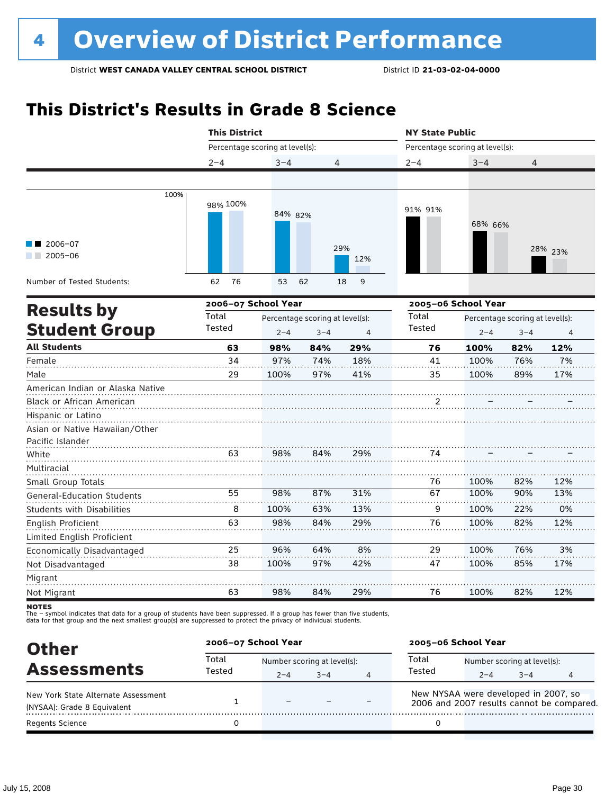# **This District's Results in Grade 8 Science**

|                                   | <b>This District</b> |                                                                          |                                 |         | <b>NY State Public</b>          |                     |                                 |         |  |
|-----------------------------------|----------------------|--------------------------------------------------------------------------|---------------------------------|---------|---------------------------------|---------------------|---------------------------------|---------|--|
|                                   |                      | Percentage scoring at level(s):<br>$3 - 4$<br>4<br>84% 82%<br>29%<br>12% |                                 |         | Percentage scoring at level(s): |                     |                                 |         |  |
|                                   | $2 - 4$              |                                                                          |                                 |         | $2 - 4$                         | $3 - 4$             | 4                               |         |  |
|                                   |                      |                                                                          |                                 |         |                                 |                     |                                 |         |  |
| 100%                              | 98% 100%             |                                                                          |                                 |         | 91% 91%                         | 68% 66%             |                                 |         |  |
| $\blacksquare$ 2006-07            |                      |                                                                          |                                 |         |                                 |                     |                                 |         |  |
| $2005 - 06$                       |                      |                                                                          |                                 |         |                                 |                     |                                 | 28% 23% |  |
| Number of Tested Students:        | 76<br>62             | 53                                                                       | 62                              | 9<br>18 |                                 |                     |                                 |         |  |
| <b>Results by</b>                 |                      | 2006-07 School Year                                                      |                                 |         |                                 | 2005-06 School Year |                                 |         |  |
|                                   | Total                |                                                                          | Percentage scoring at level(s): |         | Total                           |                     | Percentage scoring at level(s): |         |  |
| <b>Student Group</b>              | Tested               | $2 - 4$                                                                  | $3 - 4$                         | 4       | Tested                          | $2 - 4$             | $3 - 4$                         | 4       |  |
| <b>All Students</b>               | 63                   | 98%                                                                      | 84%                             | 29%     | 76                              | 100%                | 82%                             | 12%     |  |
| Female                            | 34                   | 97%                                                                      | 74%                             | 18%     | 41                              | 100%                | 76%                             | 7%      |  |
| Male                              | 29                   | 100%                                                                     | 97%                             | 41%     | 35                              | 100%                | 89%                             | 17%     |  |
| American Indian or Alaska Native  |                      |                                                                          |                                 |         |                                 |                     |                                 |         |  |
| <b>Black or African American</b>  |                      |                                                                          |                                 |         | 2                               |                     |                                 |         |  |
| Hispanic or Latino                |                      |                                                                          |                                 |         |                                 |                     |                                 |         |  |
| Asian or Native Hawaiian/Other    |                      |                                                                          |                                 |         |                                 |                     |                                 |         |  |
| Pacific Islander                  |                      |                                                                          |                                 |         |                                 |                     |                                 |         |  |
| White                             | 63                   | 98%                                                                      | 84%                             | 29%     | 74                              |                     |                                 |         |  |
| Multiracial                       |                      |                                                                          |                                 |         |                                 |                     |                                 |         |  |
| Small Group Totals                |                      |                                                                          |                                 |         | 76                              | 100%                | 82%                             | 12%     |  |
| <b>General-Education Students</b> | 55                   | 98%                                                                      | 87%                             | 31%     | 67                              | 100%                | 90%                             | 13%     |  |
| <b>Students with Disabilities</b> | 8                    | 100%                                                                     | 63%                             | 13%     | 9                               | 100%                | 22%                             | 0%      |  |
| English Proficient                | 63                   | 98%                                                                      | 84%                             | 29%     | 76                              | 100%                | 82%                             | 12%     |  |
| Limited English Proficient        |                      |                                                                          |                                 |         |                                 |                     |                                 |         |  |
| Economically Disadvantaged        | 25                   | 96%                                                                      | 64%                             | 8%      | 29                              | 100%                | 76%                             | 3%      |  |
| Not Disadvantaged                 | 38                   | 100%                                                                     | 97%                             | 42%     | 47                              | 100%                | 85%                             | 17%     |  |
| Migrant                           |                      |                                                                          |                                 |         |                                 |                     |                                 |         |  |
| Not Migrant                       | 63                   | 98%                                                                      | 84%                             | 29%     | 76                              | 100%                | 82%                             | 12%     |  |

**NOTES** 

| <b>Other</b>                        | 2006-07 School Year |                             |         |  | 2005-06 School Year |                                                                                   |         |  |  |  |
|-------------------------------------|---------------------|-----------------------------|---------|--|---------------------|-----------------------------------------------------------------------------------|---------|--|--|--|
| <b>Assessments</b>                  | Total               | Number scoring at level(s): |         |  | Total               | Number scoring at level(s):                                                       |         |  |  |  |
|                                     | Tested              | $2 - 4$                     | $3 - 4$ |  | Tested              | $2 - 4$                                                                           | $3 - 4$ |  |  |  |
| New York State Alternate Assessment |                     | $\overline{\phantom{0}}$    |         |  |                     | New NYSAA were developed in 2007, so<br>2006 and 2007 results cannot be compared. |         |  |  |  |
| (NYSAA): Grade 8 Equivalent         |                     |                             |         |  |                     |                                                                                   |         |  |  |  |
| <b>Regents Science</b>              |                     |                             |         |  |                     |                                                                                   |         |  |  |  |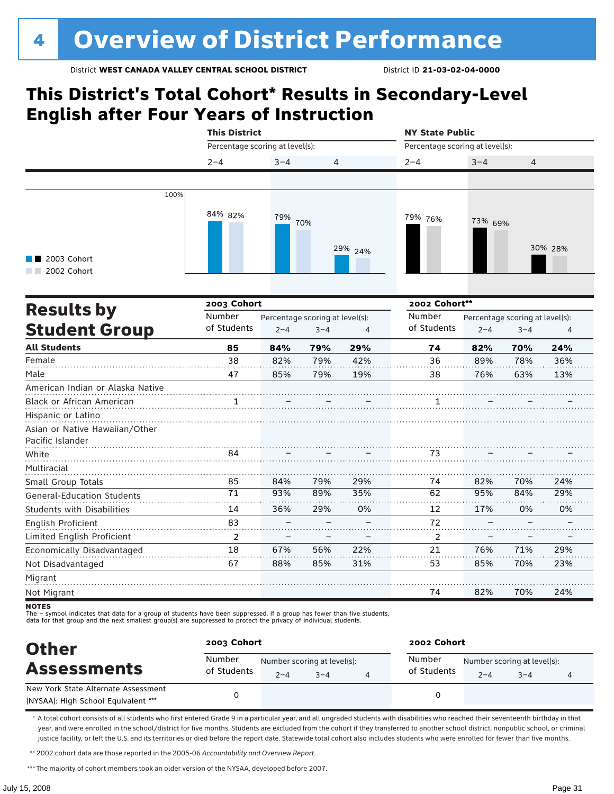### **This District's Total Cohort\* Results in Secondary-Level English after Four Years of Instruction**

|                                   | <b>This District</b>            |                                 |         |                | <b>NY State Public</b> |                                 |                                 |         |  |  |
|-----------------------------------|---------------------------------|---------------------------------|---------|----------------|------------------------|---------------------------------|---------------------------------|---------|--|--|
|                                   | Percentage scoring at level(s): |                                 |         |                |                        | Percentage scoring at level(s): |                                 |         |  |  |
|                                   | $2 - 4$                         | $3 - 4$                         | 4       |                | $2 - 4$                | $3 - 4$                         | 4                               |         |  |  |
|                                   |                                 |                                 |         |                |                        |                                 |                                 |         |  |  |
| 100%                              |                                 |                                 |         |                |                        |                                 |                                 |         |  |  |
|                                   | 84% 82%                         |                                 |         |                |                        |                                 |                                 |         |  |  |
|                                   |                                 | 79%                             | 70%     |                | 79% 76%                | 73% 69%                         |                                 |         |  |  |
|                                   |                                 |                                 |         |                |                        |                                 |                                 |         |  |  |
|                                   |                                 |                                 |         | 29% 24%        |                        |                                 |                                 | 30% 28% |  |  |
| 2003 Cohort<br>2002 Cohort        |                                 |                                 |         |                |                        |                                 |                                 |         |  |  |
|                                   |                                 |                                 |         |                |                        |                                 |                                 |         |  |  |
|                                   | 2003 Cohort                     |                                 |         |                | 2002 Cohort**          |                                 |                                 |         |  |  |
| <b>Results by</b>                 | Number                          | Percentage scoring at level(s): |         |                | Number                 |                                 | Percentage scoring at level(s): |         |  |  |
| <b>Student Group</b>              | of Students                     | $2 - 4$                         | $3 - 4$ | $\overline{4}$ | of Students            | $2 - 4$                         | $3 - 4$                         | 4       |  |  |
| <b>All Students</b>               | 85                              | 84%                             | 79%     | 29%            | 74                     | 82%                             | 70%                             | 24%     |  |  |
| Female                            | 38                              | 82%                             | 79%     | 42%            | 36                     | 89%                             | 78%                             | 36%     |  |  |
| Male                              | 47                              | 85%                             | 79%     | 19%            | 38                     | 76%                             | 63%                             | 13%     |  |  |
| American Indian or Alaska Native  |                                 |                                 |         |                |                        |                                 |                                 |         |  |  |
| Black or African American         |                                 |                                 |         |                | 1                      |                                 |                                 |         |  |  |
| Hispanic or Latino                |                                 |                                 |         |                |                        |                                 |                                 |         |  |  |
| Asian or Native Hawaiian/Other    |                                 |                                 |         |                |                        |                                 |                                 |         |  |  |
| Pacific Islander                  |                                 |                                 |         |                |                        |                                 |                                 |         |  |  |
| White                             | 84                              |                                 |         |                | 73                     |                                 |                                 |         |  |  |
| Multiracial                       |                                 |                                 |         |                |                        |                                 |                                 |         |  |  |
| Small Group Totals                | 85                              | 84%                             | 79%     | 29%            | 74                     | 82%                             | 70%                             | 24%     |  |  |
| <b>General-Education Students</b> | 71                              | 93%                             | 89%     | 35%            | 62                     | 95%                             | 84%                             | 29%     |  |  |
| <b>Students with Disabilities</b> | 14                              | 36%                             | 29%     | 0%             | 12                     | 17%                             | 0%                              | 0%      |  |  |
| English Proficient                | 83                              |                                 |         |                | 72                     |                                 |                                 |         |  |  |
| Limited English Proficient        | $\overline{2}$                  |                                 |         |                | 2                      |                                 |                                 |         |  |  |
| Economically Disadvantaged        | 18                              | 67%                             | 56%     | 22%            | 21                     | 76%                             | 71%                             | 29%     |  |  |
| Not Disadvantaged                 | 67                              | 88%                             | 85%     | 31%            | 53                     | 85%                             | 70%                             | 23%     |  |  |
| Migrant                           |                                 |                                 |         |                |                        |                                 |                                 |         |  |  |
| Not Migrant                       |                                 |                                 |         |                | 74                     | 82%                             | 70%                             | 24%     |  |  |

**NOTES** 

The – symbol indicates that data for a group of students have been suppressed. If a group has fewer than five students,<br>data for that group and the next smallest group(s) are suppressed to protect the privacy of individual

| <b>Other</b>                                                               | 2003 Cohort           |                                        |         | 2002 Cohort           |                                        |         |  |  |  |
|----------------------------------------------------------------------------|-----------------------|----------------------------------------|---------|-----------------------|----------------------------------------|---------|--|--|--|
| <b>Assessments</b>                                                         | Number<br>of Students | Number scoring at level(s):<br>$2 - 4$ | $3 - 4$ | Number<br>of Students | Number scoring at level(s):<br>$2 - 4$ | $3 - 4$ |  |  |  |
| New York State Alternate Assessment<br>(NYSAA): High School Equivalent *** |                       |                                        |         |                       |                                        |         |  |  |  |

\* A total cohort consists of all students who first entered Grade 9 in a particular year, and all ungraded students with disabilities who reached their seventeenth birthday in that year, and were enrolled in the school/district for five months. Students are excluded from the cohort if they transferred to another school district, nonpublic school, or criminal justice facility, or left the U.S. and its territories or died before the report date. Statewide total cohort also includes students who were enrolled for fewer than five months.

\*\*2002 cohort data are those reported in the 2005-06 *Accountability and Overview Report*.

\*\*\* The majority of cohort members took an older version of the NYSAA, developed before 2007.